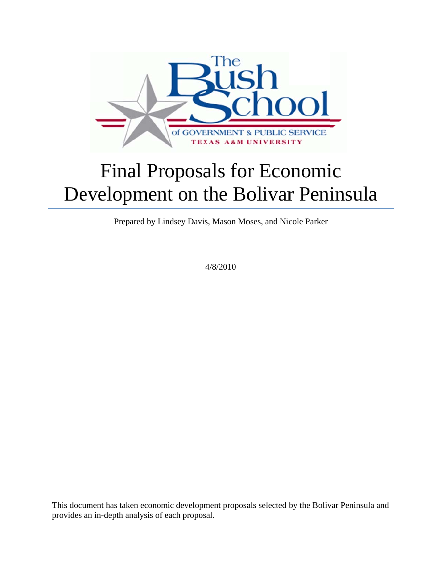

# Development on the Bolivar Peninsula Final Proposals for Economic

Prepared by Lindsey Davis, Mason Moses, and Nicole Parker

4 4/8/2010

This document has taken economic development proposals selected by the Bolivar Peninsula and provides an in-depth analysis of each proposal.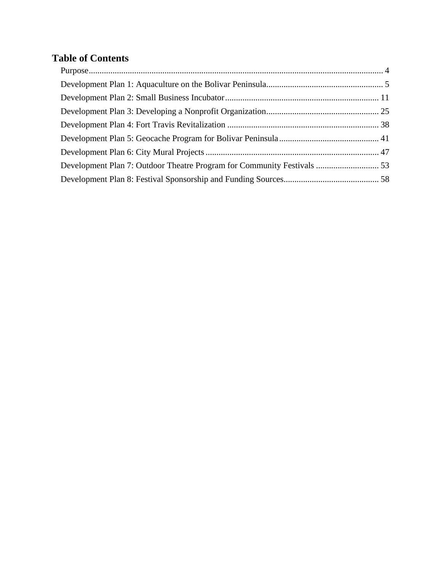## **Table of Contents**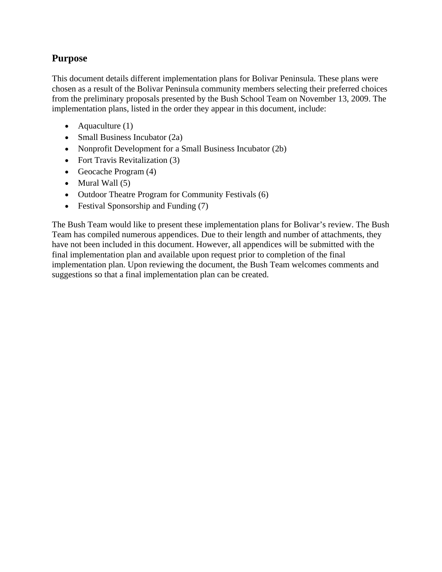## **Purpose**

This document details different implementation plans for Bolivar Peninsula. These plans were chosen as a result of the Bolivar Peninsula community members selecting their preferred choices from the preliminary proposals presented by the Bush School Team on November 13, 2009. The implementation plans, listed in the order they appear in this document, include:

- Aquaculture  $(1)$
- Small Business Incubator (2a)
- Nonprofit Development for a Small Business Incubator (2b)
- Fort Travis Revitalization (3)
- Geocache Program  $(4)$
- $\bullet$  Mural Wall  $(5)$
- Outdoor Theatre Program for Community Festivals (6)
- Festival Sponsorship and Funding (7)

The Bush Team would like to present these implementation plans for Bolivar's review. The Bush Team has compiled numerous appendices. Due to their length and number of attachments, they have not been included in this document. However, all appendices will be submitted with the final implementation plan and available upon request prior to completion of the final implementation plan. Upon reviewing the document, the Bush Team welcomes comments and suggestions so that a final implementation plan can be created.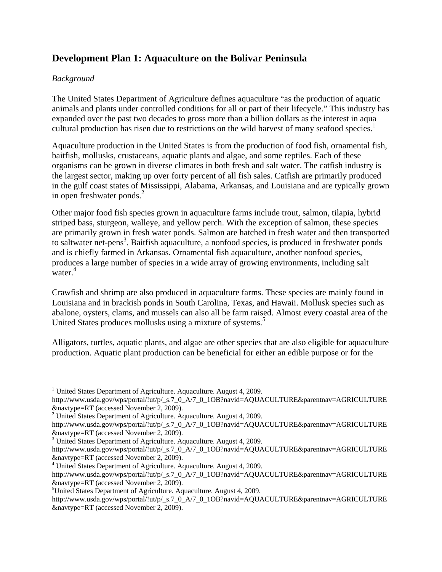## **Development Plan 1: Aquaculture on the Bolivar Peninsula**

#### *Background*

The United States Department of Agriculture defines aquaculture "as the production of aquatic animals and plants under controlled conditions for all or part of their lifecycle." This industry has expanded over the past two decades to gross more than a billion dollars as the interest in aqua cultural production has risen due to restrictions on the wild harvest of many seafood species.<sup>1</sup>

Aquaculture production in the United States is from the production of food fish, ornamental fish, baitfish, mollusks, crustaceans, aquatic plants and algae, and some reptiles. Each of these organisms can be grown in diverse climates in both fresh and salt water. The catfish industry is the largest sector, making up over forty percent of all fish sales. Catfish are primarily produced in the gulf coast states of Mississippi, Alabama, Arkansas, and Louisiana and are typically grown in open freshwater ponds. $^{2}$ 

Other major food fish species grown in aquaculture farms include trout, salmon, tilapia, hybrid striped bass, sturgeon, walleye, and yellow perch. With the exception of salmon, these species are primarily grown in fresh water ponds. Salmon are hatched in fresh water and then transported to saltwater net-pens<sup>3</sup>. Baitfish aquaculture, a nonfood species, is produced in freshwater ponds and is chiefly farmed in Arkansas. Ornamental fish aquaculture, another nonfood species, produces a large number of species in a wide array of growing environments, including salt water.<sup>4</sup>

Crawfish and shrimp are also produced in aquaculture farms. These species are mainly found in Louisiana and in brackish ponds in South Carolina, Texas, and Hawaii. Mollusk species such as abalone, oysters, clams, and mussels can also all be farm raised. Almost every coastal area of the United States produces mollusks using a mixture of systems.<sup>5</sup>

Alligators, turtles, aquatic plants, and algae are other species that are also eligible for aquaculture production. Aquatic plant production can be beneficial for either an edible purpose or for the

<sup>1</sup> <sup>1</sup> United States Department of Agriculture. Aquaculture. August 4, 2009.

http://www.usda.gov/wps/portal/!ut/p/\_s.7\_0\_A/7\_0\_1OB?navid=AQUACULTURE&parentnav=AGRICULTURE

<sup>&</sup>amp;navtype=RT (accessed November 2, 2009). 2 United States Department of Agriculture. Aquaculture. August 4, 2009.

http://www.usda.gov/wps/portal/!ut/p/\_s.7\_0\_A/7\_0\_1OB?navid=AQUACULTURE&parentnav=AGRICULTURE &navtype=RT (accessed November 2, 2009). 3

<sup>&</sup>lt;sup>3</sup> United States Department of Agriculture. Aquaculture. August 4, 2009.

http://www.usda.gov/wps/portal/!ut/p/\_s.7\_0\_A/7\_0\_1OB?navid=AQUACULTURE&parentnav=AGRICULTURE &navtype=RT (accessed November 2, 2009). 4

 $4$  United States Department of Agriculture. Aquaculture. August 4, 2009.

http://www.usda.gov/wps/portal/!ut/p/\_s.7\_0\_A/7\_0\_1OB?navid=AQUACULTURE&parentnav=AGRICULTURE &navtype=RT (accessed November 2, 2009). 5

<sup>&</sup>lt;sup>5</sup>United States Department of Agriculture. Aquaculture. August 4, 2009.

http://www.usda.gov/wps/portal/!ut/p/\_s.7\_0\_A/7\_0\_1OB?navid=AQUACULTURE&parentnav=AGRICULTURE &navtype=RT (accessed November 2, 2009).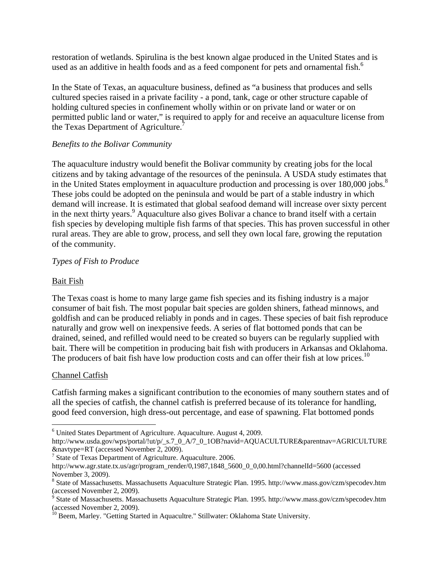restoration of wetlands. Spirulina is the best known algae produced in the United States and is used as an additive in health foods and as a feed component for pets and ornamental fish.<sup>6</sup>

In the State of Texas, an aquaculture business, defined as "a business that produces and sells cultured species raised in a private facility - a pond, tank, cage or other structure capable of holding cultured species in confinement wholly within or on private land or water or on permitted public land or water," is required to apply for and receive an aquaculture license from the Texas Department of Agriculture.<sup>7</sup>

#### *Benefits to the Bolivar Community*

The aquaculture industry would benefit the Bolivar community by creating jobs for the local citizens and by taking advantage of the resources of the peninsula. A USDA study estimates that in the United States employment in aquaculture production and processing is over  $180,000$  jobs.<sup>8</sup> These jobs could be adopted on the peninsula and would be part of a stable industry in which demand will increase. It is estimated that global seafood demand will increase over sixty percent in the next thirty years.<sup>9</sup> Aquaculture also gives Bolivar a chance to brand itself with a certain fish species by developing multiple fish farms of that species. This has proven successful in other rural areas. They are able to grow, process, and sell they own local fare, growing the reputation of the community.

#### *Types of Fish to Produce*

#### Bait Fish

The Texas coast is home to many large game fish species and its fishing industry is a major consumer of bait fish. The most popular bait species are golden shiners, fathead minnows, and goldfish and can be produced reliably in ponds and in cages. These species of bait fish reproduce naturally and grow well on inexpensive feeds. A series of flat bottomed ponds that can be drained, seined, and refilled would need to be created so buyers can be regularly supplied with bait. There will be competition in producing bait fish with producers in Arkansas and Oklahoma. The producers of bait fish have low production costs and can offer their fish at low prices.<sup>10</sup>

#### Channel Catfish

 $\overline{a}$ 

Catfish farming makes a significant contribution to the economies of many southern states and of all the species of catfish, the channel catfish is preferred because of its tolerance for handling, good feed conversion, high dress-out percentage, and ease of spawning. Flat bottomed ponds

<sup>&</sup>lt;sup>6</sup> United States Department of Agriculture. Aquaculture. August 4, 2009.

http://www.usda.gov/wps/portal/!ut/p/\_s.7\_0\_A/7\_0\_1OB?navid=AQUACULTURE&parentnav=AGRICULTURE &navtype=RT (accessed November 2, 2009). 7

 $\frac{7}{1}$  State of Texas Department of Agriculture. Aquaculture. 2006.

http://www.agr.state.tx.us/agr/program\_render/0,1987,1848\_5600\_0\_0,00.html?channelId=5600 (accessed November 3, 2009).

<sup>&</sup>lt;sup>8</sup> State of Massachusetts. Massachusetts Aquaculture Strategic Plan. 1995. http://www.mass.gov/czm/specodev.htm (accessed November 2, 2009).<br><sup>9</sup> State of Massachusetts. Massachusetts Aquaculture Strategic Plan. 1995. http://www.mass.gov/czm/specodev.htm

<sup>(</sup>accessed November 2, 2009).

<sup>&</sup>lt;sup>10</sup> Beem, Marley. "Getting Started in Aquacultre." Stillwater: Oklahoma State University.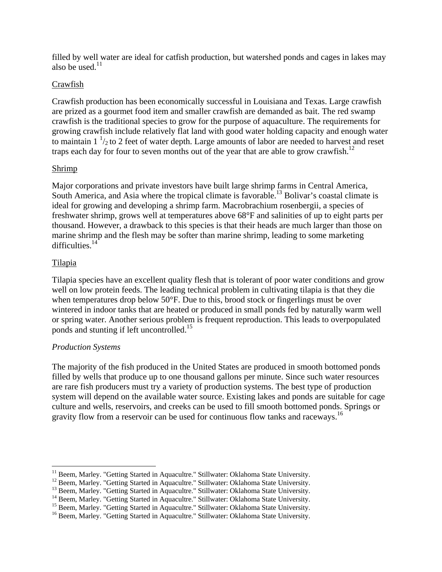filled by well water are ideal for catfish production, but watershed ponds and cages in lakes may also be used. $11$ 

#### Crawfish

Crawfish production has been economically successful in Louisiana and Texas. Large crawfish are prized as a gourmet food item and smaller crawfish are demanded as bait. The red swamp crawfish is the traditional species to grow for the purpose of aquaculture. The requirements for growing crawfish include relatively flat land with good water holding capacity and enough water to maintain  $1<sup>1</sup>/2$  to 2 feet of water depth. Large amounts of labor are needed to harvest and reset traps each day for four to seven months out of the year that are able to grow crawfish.<sup>12</sup>

#### Shrimp

Major corporations and private investors have built large shrimp farms in Central America, South America, and Asia where the tropical climate is favorable.<sup>13</sup> Bolivar's coastal climate is ideal for growing and developing a shrimp farm. Macrobrachium rosenbergii, a species of freshwater shrimp, grows well at temperatures above 68°F and salinities of up to eight parts per thousand. However, a drawback to this species is that their heads are much larger than those on marine shrimp and the flesh may be softer than marine shrimp, leading to some marketing difficulties. $14$ 

#### Tilapia

Tilapia species have an excellent quality flesh that is tolerant of poor water conditions and grow well on low protein feeds. The leading technical problem in cultivating tilapia is that they die when temperatures drop below 50°F. Due to this, brood stock or fingerlings must be over wintered in indoor tanks that are heated or produced in small ponds fed by naturally warm well or spring water. Another serious problem is frequent reproduction. This leads to overpopulated ponds and stunting if left uncontrolled.<sup>15</sup>

#### *Production Systems*

The majority of the fish produced in the United States are produced in smooth bottomed ponds filled by wells that produce up to one thousand gallons per minute. Since such water resources are rare fish producers must try a variety of production systems. The best type of production system will depend on the available water source. Existing lakes and ponds are suitable for cage culture and wells, reservoirs, and creeks can be used to fill smooth bottomed ponds. Springs or gravity flow from a reservoir can be used for continuous flow tanks and raceways.<sup>16</sup>

<sup>&</sup>lt;sup>11</sup> Beem, Marley. "Getting Started in Aquacultre." Stillwater: Oklahoma State University.

<sup>&</sup>lt;sup>12</sup> Beem, Marley. "Getting Started in Aquacultre." Stillwater: Oklahoma State University.<br><sup>13</sup> Beem, Marley. "Getting Started in Aquacultre." Stillwater: Oklahoma State University.<br><sup>14</sup> Beem, Marley. "Getting Started in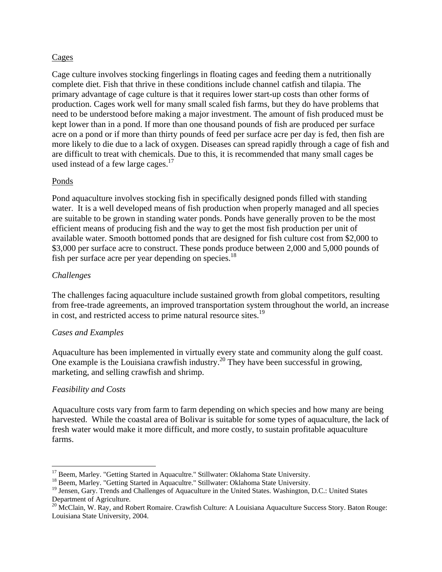#### Cages

Cage culture involves stocking fingerlings in floating cages and feeding them a nutritionally complete diet. Fish that thrive in these conditions include channel catfish and tilapia. The primary advantage of cage culture is that it requires lower start-up costs than other forms of production. Cages work well for many small scaled fish farms, but they do have problems that need to be understood before making a major investment. The amount of fish produced must be kept lower than in a pond. If more than one thousand pounds of fish are produced per surface acre on a pond or if more than thirty pounds of feed per surface acre per day is fed, then fish are more likely to die due to a lack of oxygen. Diseases can spread rapidly through a cage of fish and are difficult to treat with chemicals. Due to this, it is recommended that many small cages be used instead of a few large cages.<sup>17</sup>

#### Ponds

Pond aquaculture involves stocking fish in specifically designed ponds filled with standing water. It is a well developed means of fish production when properly managed and all species are suitable to be grown in standing water ponds. Ponds have generally proven to be the most efficient means of producing fish and the way to get the most fish production per unit of available water. Smooth bottomed ponds that are designed for fish culture cost from \$2,000 to \$3,000 per surface acre to construct. These ponds produce between 2,000 and 5,000 pounds of fish per surface acre per year depending on species. $^{18}$ 

#### *Challenges*

The challenges facing aquaculture include sustained growth from global competitors, resulting from free-trade agreements, an improved transportation system throughout the world, an increase in cost, and restricted access to prime natural resource sites.19

#### *Cases and Examples*

Aquaculture has been implemented in virtually every state and community along the gulf coast. One example is the Louisiana crawfish industry.<sup>20</sup> They have been successful in growing, marketing, and selling crawfish and shrimp.

#### *Feasibility and Costs*

Aquaculture costs vary from farm to farm depending on which species and how many are being harvested. While the coastal area of Bolivar is suitable for some types of aquaculture, the lack of fresh water would make it more difficult, and more costly, to sustain profitable aquaculture farms.

<sup>&</sup>lt;sup>17</sup> Beem, Marley. "Getting Started in Aquacultre." Stillwater: Oklahoma State University.

<sup>&</sup>lt;sup>18</sup> Beem, Marley. "Getting Started in Aquacultre." Stillwater: Oklahoma State University.

<sup>&</sup>lt;sup>19</sup> Jensen, Gary. Trends and Challenges of Aquaculture in the United States. Washington, D.C.: United States Department of Agriculture.

<sup>&</sup>lt;sup>20</sup> McClain, W. Ray, and Robert Romaire. Crawfish Culture: A Louisiana Aquaculture Success Story. Baton Rouge: Louisiana State University, 2004.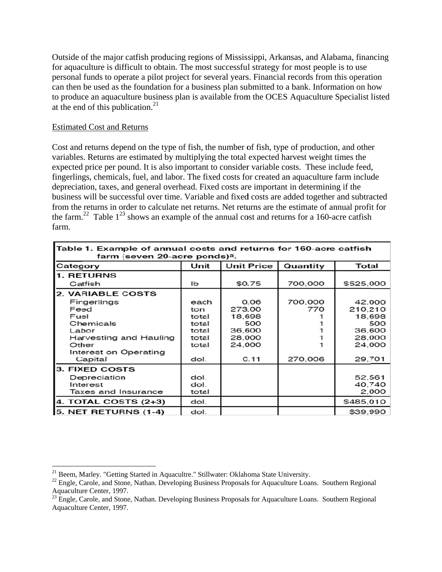Outside of the major catfish producing regions of Mississippi, Arkansas, and Alabama, financing for aquaculture is difficult to obtain. The most successful strategy for most people is to use personal funds to operate a pilot project for several years. Financial records from this operation can then be used as the foundation for a business plan submitted to a bank. Information on how to produce an aquaculture business plan is available from the OCES Aquaculture Specialist listed at the end of this publication. $21$ 

#### Estimated Cost and Returns

Cost and returns depend on the type of fish, the number of fish, type of production, and other variables. Returns are estimated by multiplying the total expected harvest weight times the expected price per pound. It is also important to consider variable costs. These include feed, fingerlings, chemicals, fuel, and labor. The fixed costs for created an aquaculture farm include depreciation, taxes, and general overhead. Fixed costs are important in determining if the business will be successful over time. Variable and fixed costs are added together and subtracted from the returns in order to calculate net returns. Net returns are the estimate of annual profit for the farm.<sup>22</sup> Table  $1^{23}$  shows an example of the annual cost and returns for a 160-acre catfish farm.

| farm (seven 20-acre ponds) <sup>a</sup> .<br>Unit<br><b>Unit Price</b><br>Quantity<br>Total<br>Category |                        |                          |                    |  |  |
|---------------------------------------------------------------------------------------------------------|------------------------|--------------------------|--------------------|--|--|
|                                                                                                         |                        |                          |                    |  |  |
| Ib                                                                                                      | \$0.75                 | 700,000                  | \$525,000          |  |  |
|                                                                                                         |                        |                          |                    |  |  |
| each                                                                                                    | 0.06                   |                          | 42,000             |  |  |
| ton                                                                                                     | 273.00                 | 770                      | 210.210            |  |  |
| total                                                                                                   | 18,698                 |                          | 18,698             |  |  |
| total                                                                                                   | 500                    |                          | 500                |  |  |
| total                                                                                                   | 36,600                 |                          | 36,600             |  |  |
| total                                                                                                   |                        |                          | 28,000             |  |  |
|                                                                                                         |                        |                          | 24,000             |  |  |
|                                                                                                         |                        |                          |                    |  |  |
|                                                                                                         |                        |                          | 29,701             |  |  |
|                                                                                                         |                        |                          |                    |  |  |
| dol.                                                                                                    |                        |                          | 52,561             |  |  |
| dol.                                                                                                    |                        |                          | 40,740             |  |  |
|                                                                                                         |                        |                          | 2,000              |  |  |
| dol.                                                                                                    |                        |                          | \$485,010          |  |  |
| dol.                                                                                                    |                        |                          | \$39,990           |  |  |
|                                                                                                         | total<br>dol.<br>total | 28,000<br>24,000<br>0.11 | 700,000<br>270,006 |  |  |

 Marley. "Gettin  $\overline{a}$ ng Started in Aquacultre." Stillwater: Oklahoma State University.

<sup>&</sup>lt;sup>21</sup> Beem, Marley. "Getting Started in Aquacultre." Stillwater: Oklahoma State University.<br><sup>22</sup> Engle, Carole, and Stone, Nathan. Developing Business Proposals for Aquaculture Loans. Southern Regiona Aquaculture Center, 1997<br><sup>23</sup> Engle, Carole, and Ston 7.

Aquaculture Center, 1997. Carole, and Ston ne, Nathan. Developing Business Proposals for Aquaculture Loans. Southern Regional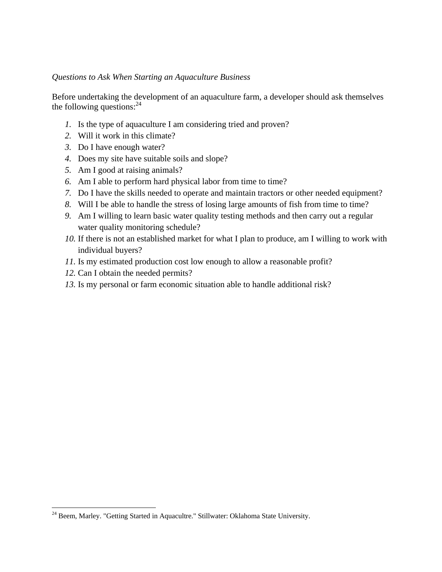#### *Questions to Ask When Starting an Aquaculture Business*

Before undertaking the development of an aquaculture farm, a developer should ask themselves the following questions: $24$ 

- *1.* Is the type of aquaculture I am considering tried and proven?
- *2.* Will it work in this climate?
- *3.* Do I have enough water?
- *4.* Does my site have suitable soils and slope?
- *5.* Am I good at raising animals?
- *6.* Am I able to perform hard physical labor from time to time?
- *7.* Do I have the skills needed to operate and maintain tractors or other needed equipment?
- *8.* Will I be able to handle the stress of losing large amounts of fish from time to time?
- *9.* Am I willing to learn basic water quality testing methods and then carry out a regular water quality monitoring schedule?
- *10.* If there is not an established market for what I plan to produce, am I willing to work with individual buyers?
- *11.* Is my estimated production cost low enough to allow a reasonable profit?
- *12.* Can I obtain the needed permits?

<u>.</u>

*13.* Is my personal or farm economic situation able to handle additional risk?

<sup>&</sup>lt;sup>24</sup> Beem, Marley. "Getting Started in Aquacultre." Stillwater: Oklahoma State University.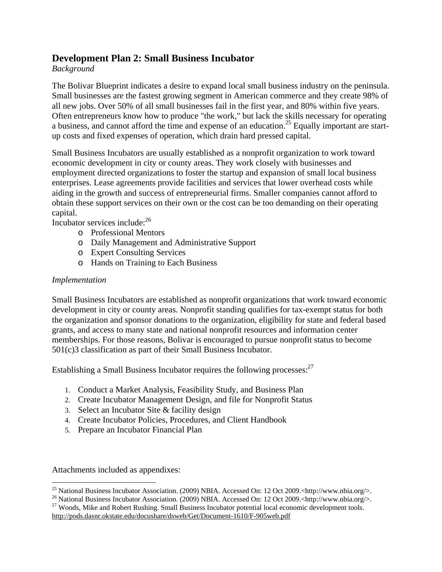### **Development Plan 2: Small Business Incubator**

#### *Background*

The Bolivar Blueprint indicates a desire to expand local small business industry on the peninsula. Small businesses are the fastest growing segment in American commerce and they create 98% of all new jobs. Over 50% of all small businesses fail in the first year, and 80% within five years. Often entrepreneurs know how to produce "the work," but lack the skills necessary for operating a business, and cannot afford the time and expense of an education.<sup>25</sup> Equally important are startup costs and fixed expenses of operation, which drain hard pressed capital.

Small Business Incubators are usually established as a nonprofit organization to work toward economic development in city or county areas. They work closely with businesses and employment directed organizations to foster the startup and expansion of small local business enterprises. Lease agreements provide facilities and services that lower overhead costs while aiding in the growth and success of entrepreneurial firms. Smaller companies cannot afford to obtain these support services on their own or the cost can be too demanding on their operating capital.

Incubator services include:26

- o Professional Mentors
- o Daily Management and Administrative Support
- o Expert Consulting Services
- o Hands on Training to Each Business

#### *Implementation*

Small Business Incubators are established as nonprofit organizations that work toward economic development in city or county areas. Nonprofit standing qualifies for tax-exempt status for both the organization and sponsor donations to the organization, eligibility for state and federal based grants, and access to many state and national nonprofit resources and information center memberships. For those reasons, Bolivar is encouraged to pursue nonprofit status to become 501(c)3 classification as part of their Small Business Incubator.

Establishing a Small Business Incubator requires the following processes:<sup>27</sup>

- 1. Conduct a Market Analysis, Feasibility Study, and Business Plan
- 2. Create Incubator Management Design, and file for Nonprofit Status
- 3. Select an Incubator Site & facility design
- 4. Create Incubator Policies, Procedures, and Client Handbook
- 5. Prepare an Incubator Financial Plan

Attachments included as appendixes:

<sup>&</sup>lt;sup>25</sup> National Business Incubator Association. (2009) NBIA. Accessed On: 12 Oct 2009.<http://www.nbia.org/>.

<sup>&</sup>lt;sup>26</sup> National Business Incubator Association. (2009) NBIA. Accessed On: 12 Oct 2009.<http://www.nbia.org/>. <sup>27</sup> Woods, Mike and Robert Rushing. Small Business Incubator potential local economic development tools.

http://pods.dasnr.okstate.edu/docushare/dsweb/Get/Document-1610/F-905web.pdf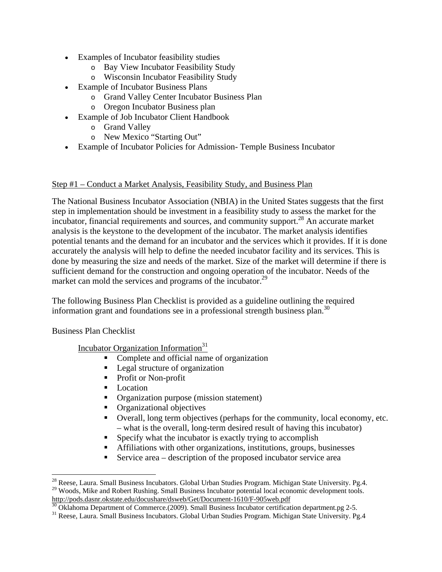- Examples of Incubator feasibility studies
	- o Bay View Incubator Feasibility Study
	- o Wisconsin Incubator Feasibility Study
- Example of Incubator Business Plans
	- o Grand Valley Center Incubator Business Plan
	- o Oregon Incubator Business plan
- Example of Job Incubator Client Handbook
	- o Grand Valley
	- o New Mexico "Starting Out"
- Example of Incubator Policies for Admission- Temple Business Incubator

#### Step #1 – Conduct a Market Analysis, Feasibility Study, and Business Plan

The National Business Incubator Association (NBIA) in the United States suggests that the first step in implementation should be investment in a feasibility study to assess the market for the incubator, financial requirements and sources, and community support.<sup>28</sup> An accurate market analysis is the keystone to the development of the incubator. The market analysis identifies potential tenants and the demand for an incubator and the services which it provides. If it is done accurately the analysis will help to define the needed incubator facility and its services. This is done by measuring the size and needs of the market. Size of the market will determine if there is sufficient demand for the construction and ongoing operation of the incubator. Needs of the market can mold the services and programs of the incubator.<sup>29</sup>

The following Business Plan Checklist is provided as a guideline outlining the required information grant and foundations see in a professional strength business plan.<sup>30</sup>

Business Plan Checklist

 $\overline{a}$ 

Incubator Organization Information<sup>31</sup>

- Complete and official name of organization
- **Legal structure of organization**
- Profit or Non-profit
- Location
- **•** Organization purpose (mission statement)
- **•** Organizational objectives
- Overall, long term objectives (perhaps for the community, local economy, etc. – what is the overall, long-term desired result of having this incubator)
- Specify what the incubator is exactly trying to accomplish
- Affiliations with other organizations, institutions, groups, businesses
- Service area  $-$  description of the proposed incubator service area

<sup>&</sup>lt;sup>28</sup> Reese, Laura. Small Business Incubators. Global Urban Studies Program. Michigan State University. Pg.4. <sup>29</sup> Woods, Mike and Robert Rushing. Small Business Incubator potential local economic development tools. http://pods.dasnr.okstate.edu/docushare/dsweb/Get/Document-1610/F-905web.pdf

<sup>&</sup>lt;sup>30</sup> Oklahoma Department of Commerce.(2009). Small Business Incubator certification department.pg 2-5.

<sup>&</sup>lt;sup>31</sup> Reese, Laura. Small Business Incubators. Global Urban Studies Program. Michigan State University. Pg.4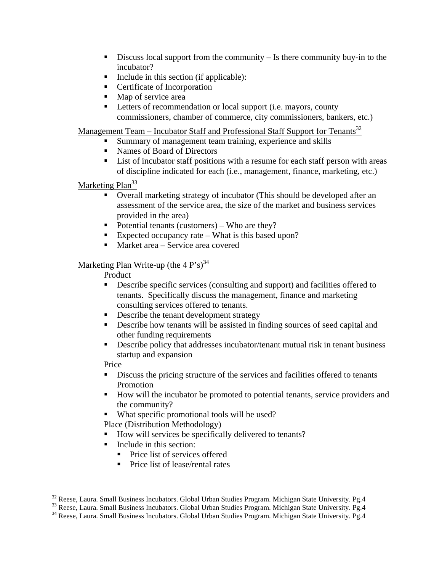- Discuss local support from the community Is there community buy-in to the incubator?
- Include in this section (if applicable):
- **Certificate of Incorporation**
- Map of service area
- **Letters of recommendation or local support (i.e. mayors, county** commissioners, chamber of commerce, city commissioners, bankers, etc.)

<u>Management Team – Incubator Staff and Professional Staff Support for Tenants</u><sup>32</sup>

- Summary of management team training, experience and skills
- Names of Board of Directors
- **EXECUTE:** List of incubator staff positions with a resume for each staff person with areas of discipline indicated for each (i.e., management, finance, marketing, etc.)

Marketing Plan<sup>33</sup>

- Overall marketing strategy of incubator (This should be developed after an assessment of the service area, the size of the market and business services provided in the area)
- Potential tenants (customers) Who are they?
- Expected occupancy rate What is this based upon?
- Market area Service area covered

#### Marketing Plan Write-up (the  $4 P$ 's)<sup>34</sup>

#### Product

- Describe specific services (consulting and support) and facilities offered to tenants. Specifically discuss the management, finance and marketing consulting services offered to tenants.
- Describe the tenant development strategy
- Describe how tenants will be assisted in finding sources of seed capital and other funding requirements
- Describe policy that addresses incubator/tenant mutual risk in tenant business startup and expansion

Price

- Discuss the pricing structure of the services and facilities offered to tenants Promotion
- How will the incubator be promoted to potential tenants, service providers and the community?
- What specific promotional tools will be used?

Place (Distribution Methodology)

- How will services be specifically delivered to tenants?
- $\blacksquare$  Include in this section:
	- **Price list of services offered**
	- Price list of lease/rental rates

<sup>&</sup>lt;sup>32</sup> Reese, Laura. Small Business Incubators. Global Urban Studies Program. Michigan State University. Pg.4

<sup>&</sup>lt;sup>33</sup> Reese, Laura. Small Business Incubators. Global Urban Studies Program. Michigan State University. Pg.4<br><sup>34</sup> Reese, Laura. Small Business Incubators. Global Urban Studies Program. Michigan State University. Pg.4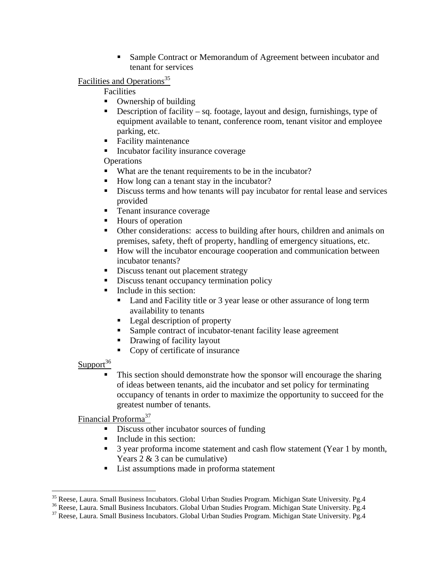■ Sample Contract or Memorandum of Agreement between incubator and tenant for services

Facilities and Operations<sup>35</sup>

#### Facilities

- Ownership of building
- Description of facility sq. footage, layout and design, furnishings, type of equipment available to tenant, conference room, tenant visitor and employee parking, etc.
- Facility maintenance
- Incubator facility insurance coverage

**Operations** 

- What are the tenant requirements to be in the incubator?
- How long can a tenant stay in the incubator?
- Discuss terms and how tenants will pay incubator for rental lease and services provided
- **Tenant insurance coverage**
- Hours of operation
- Other considerations: access to building after hours, children and animals on premises, safety, theft of property, handling of emergency situations, etc.
- How will the incubator encourage cooperation and communication between incubator tenants?
- Discuss tenant out placement strategy
- Discuss tenant occupancy termination policy
- $\blacksquare$  Include in this section:
	- Land and Facility title or 3 year lease or other assurance of long term availability to tenants
	- Legal description of property
	- Sample contract of incubator-tenant facility lease agreement
	- **Drawing of facility layout**
	- Copy of certificate of insurance

 $Support<sup>36</sup>$ 

 This section should demonstrate how the sponsor will encourage the sharing of ideas between tenants, aid the incubator and set policy for terminating occupancy of tenants in order to maximize the opportunity to succeed for the greatest number of tenants.

Financial Proforma<sup>37</sup>

- Discuss other incubator sources of funding
- Include in this section:
- <sup>3</sup> 3 year proforma income statement and cash flow statement (Year 1 by month, Years 2 & 3 can be cumulative)
- List assumptions made in proforma statement

<sup>&</sup>lt;sup>35</sup> Reese, Laura. Small Business Incubators. Global Urban Studies Program. Michigan State University. Pg.4

<sup>&</sup>lt;sup>36</sup> Reese, Laura. Small Business Incubators. Global Urban Studies Program. Michigan State University. Pg.4<br><sup>37</sup> Reese, Laura. Small Business Incubators. Global Urban Studies Program. Michigan State University. Pg.4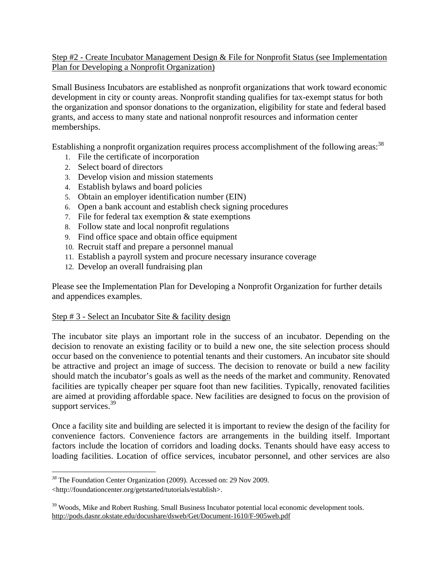#### Step #2 - Create Incubator Management Design & File for Nonprofit Status (see Implementation Plan for Developing a Nonprofit Organization)

Small Business Incubators are established as nonprofit organizations that work toward economic development in city or county areas. Nonprofit standing qualifies for tax-exempt status for both the organization and sponsor donations to the organization, eligibility for state and federal based grants, and access to many state and national nonprofit resources and information center memberships.

Establishing a nonprofit organization requires process accomplishment of the following areas:<sup>38</sup>

- 1. File the certificate of incorporation
- 2. Select board of directors
- 3. Develop vision and mission statements
- 4. Establish bylaws and board policies
- 5. Obtain an employer identification number (EIN)
- 6. Open a bank account and establish check signing procedures
- 7. File for federal tax exemption & state exemptions
- 8. Follow state and local nonprofit regulations
- 9. Find office space and obtain office equipment
- 10. Recruit staff and prepare a personnel manual
- 11. Establish a payroll system and procure necessary insurance coverage
- 12. Develop an overall fundraising plan

Please see the Implementation Plan for Developing a Nonprofit Organization for further details and appendices examples.

#### Step # 3 - Select an Incubator Site & facility design

The incubator site plays an important role in the success of an incubator. Depending on the decision to renovate an existing facility or to build a new one, the site selection process should occur based on the convenience to potential tenants and their customers. An incubator site should be attractive and project an image of success. The decision to renovate or build a new facility should match the incubator's goals as well as the needs of the market and community. Renovated facilities are typically cheaper per square foot than new facilities. Typically, renovated facilities are aimed at providing affordable space. New facilities are designed to focus on the provision of support services.<sup>39</sup>

Once a facility site and building are selected it is important to review the design of the facility for convenience factors. Convenience factors are arrangements in the building itself. Important factors include the location of corridors and loading docks. Tenants should have easy access to loading facilities. Location of office services, incubator personnel, and other services are also

 $\overline{a}$ 

*<sup>38</sup>* The Foundation Center Organization (2009). Accessed on: 29 Nov 2009.

<sup>&</sup>lt;http://foundationcenter.org/getstarted/tutorials/establish>.

<sup>&</sup>lt;sup>39</sup> Woods, Mike and Robert Rushing. Small Business Incubator potential local economic development tools. http://pods.dasnr.okstate.edu/docushare/dsweb/Get/Document-1610/F-905web.pdf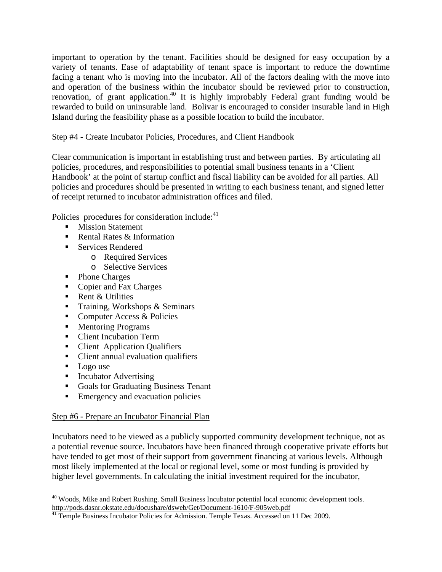important to operation by the tenant. Facilities should be designed for easy occupation by a variety of tenants. Ease of adaptability of tenant space is important to reduce the downtime facing a tenant who is moving into the incubator. All of the factors dealing with the move into and operation of the business within the incubator should be reviewed prior to construction, renovation, of grant application.<sup>40</sup> It is highly improbably Federal grant funding would be rewarded to build on uninsurable land. Bolivar is encouraged to consider insurable land in High Island during the feasibility phase as a possible location to build the incubator.

#### Step #4 - Create Incubator Policies, Procedures, and Client Handbook

Clear communication is important in establishing trust and between parties. By articulating all policies, procedures, and responsibilities to potential small business tenants in a 'Client Handbook' at the point of startup conflict and fiscal liability can be avoided for all parties. All policies and procedures should be presented in writing to each business tenant, and signed letter of receipt returned to incubator administration offices and filed.

Policies procedures for consideration include:<sup>41</sup>

- **Mission Statement**
- Rental Rates & Information
- Services Rendered
	- o Required Services
		- o Selective Services
- Phone Charges
- Copier and Fax Charges
- Rent & Utilities
- Training, Workshops  $&$  Seminars
- Computer Access & Policies
- **Mentoring Programs**
- Client Incubation Term
- Client Application Qualifiers
- Client annual evaluation qualifiers
- Logo use
- Incubator Advertising
- Goals for Graduating Business Tenant
- **Emergency and evacuation policies**

#### Step #6 - Prepare an Incubator Financial Plan

Incubators need to be viewed as a publicly supported community development technique, not as a potential revenue source. Incubators have been financed through cooperative private efforts but have tended to get most of their support from government financing at various levels. Although most likely implemented at the local or regional level, some or most funding is provided by higher level governments. In calculating the initial investment required for the incubator,

<sup>1</sup> <sup>40</sup> Woods, Mike and Robert Rushing. Small Business Incubator potential local economic development tools. http://pods.dasnr.okstate.edu/docushare/dsweb/Get/Document-1610/F-905web.pdf

Temple Business Incubator Policies for Admission. Temple Texas. Accessed on 11 Dec 2009.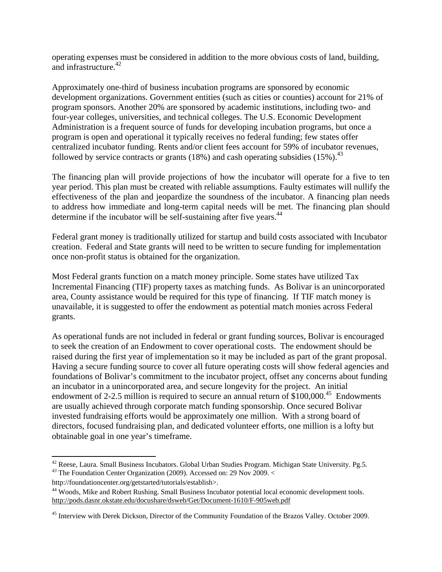operating expenses must be considered in addition to the more obvious costs of land, building, and infrastructure.<sup>42</sup>

Approximately one-third of business incubation programs are sponsored by economic development organizations. Government entities (such as cities or counties) account for 21% of program sponsors. Another 20% are sponsored by academic institutions, including two- and four-year colleges, universities, and technical colleges. The U.S. Economic Development Administration is a frequent source of funds for developing incubation programs, but once a program is open and operational it typically receives no federal funding; few states offer centralized incubator funding. Rents and/or client fees account for 59% of incubator revenues, followed by service contracts or grants (18%) and cash operating subsidies (15%).<sup>43</sup>

The financing plan will provide projections of how the incubator will operate for a five to ten year period. This plan must be created with reliable assumptions. Faulty estimates will nullify the effectiveness of the plan and jeopardize the soundness of the incubator. A financing plan needs to address how immediate and long-term capital needs will be met. The financing plan should determine if the incubator will be self-sustaining after five years.<sup>44</sup>

Federal grant money is traditionally utilized for startup and build costs associated with Incubator creation. Federal and State grants will need to be written to secure funding for implementation once non-profit status is obtained for the organization.

Most Federal grants function on a match money principle. Some states have utilized Tax Incremental Financing (TIF) property taxes as matching funds. As Bolivar is an unincorporated area, County assistance would be required for this type of financing. If TIF match money is unavailable, it is suggested to offer the endowment as potential match monies across Federal grants.

As operational funds are not included in federal or grant funding sources, Bolivar is encouraged to seek the creation of an Endowment to cover operational costs. The endowment should be raised during the first year of implementation so it may be included as part of the grant proposal. Having a secure funding source to cover all future operating costs will show federal agencies and foundations of Bolivar's commitment to the incubator project, offset any concerns about funding an incubator in a unincorporated area, and secure longevity for the project. An initial endowment of 2-2.5 million is required to secure an annual return of  $$100,000.<sup>45</sup>$  Endowments are usually achieved through corporate match funding sponsorship. Once secured Bolivar invested fundraising efforts would be approximately one million. With a strong board of directors, focused fundraising plan, and dedicated volunteer efforts, one million is a lofty but obtainable goal in one year's timeframe.

http://foundationcenter.org/getstarted/tutorials/establish>.

<sup>&</sup>lt;u>.</u> 42 Reese, Laura. Small Business Incubators. Global Urban Studies Program. Michigan State University. Pg.5. *<sup>43</sup>* The Foundation Center Organization (2009). Accessed on: 29 Nov 2009. <

<sup>&</sup>lt;sup>44</sup> Woods, Mike and Robert Rushing. Small Business Incubator potential local economic development tools. http://pods.dasnr.okstate.edu/docushare/dsweb/Get/Document-1610/F-905web.pdf

<sup>45</sup> Interview with Derek Dickson, Director of the Community Foundation of the Brazos Valley. October 2009.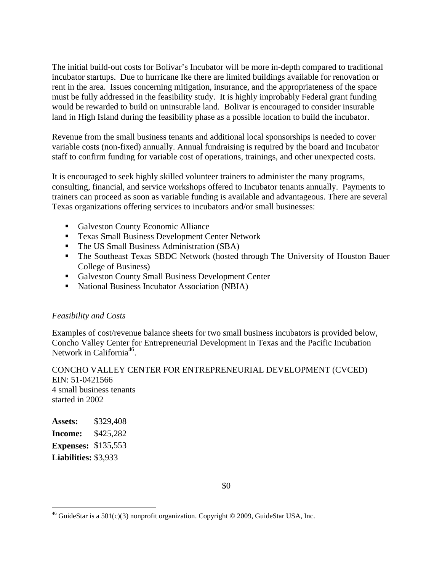The initial build-out costs for Bolivar's Incubator will be more in-depth compared to traditional incubator startups. Due to hurricane Ike there are limited buildings available for renovation or rent in the area. Issues concerning mitigation, insurance, and the appropriateness of the space must be fully addressed in the feasibility study. It is highly improbably Federal grant funding would be rewarded to build on uninsurable land. Bolivar is encouraged to consider insurable land in High Island during the feasibility phase as a possible location to build the incubator.

Revenue from the small business tenants and additional local sponsorships is needed to cover variable costs (non-fixed) annually. Annual fundraising is required by the board and Incubator staff to confirm funding for variable cost of operations, trainings, and other unexpected costs.

It is encouraged to seek highly skilled volunteer trainers to administer the many programs, consulting, financial, and service workshops offered to Incubator tenants annually. Payments to trainers can proceed as soon as variable funding is available and advantageous. There are several Texas organizations offering services to incubators and/or small businesses:

- Galveston County Economic Alliance
- **Texas Small Business Development Center Network**
- The US Small Business Administration (SBA)
- The Southeast Texas SBDC Network (hosted through The University of Houston Bauer College of Business)
- Galveston County Small Business Development Center
- National Business Incubator Association (NBIA)

#### *Feasibility and Costs*

Examples of cost/revenue balance sheets for two small business incubators is provided below, Concho Valley Center for Entrepreneurial Development in Texas and the Pacific Incubation Network in California<sup>46</sup>.

#### CONCHO VALLEY CENTER FOR ENTREPRENEURIAL DEVELOPMENT (CVCED) EIN: 51-0421566

4 small business tenants started in 2002

**Assets:** \$329,408 **Income:** \$425,282 **Expenses:** \$135,553 **Liabilities:** \$3,933

<u>.</u>

<sup>&</sup>lt;sup>46</sup> GuideStar is a 501(c)(3) nonprofit organization. Copyright © 2009, GuideStar USA, Inc.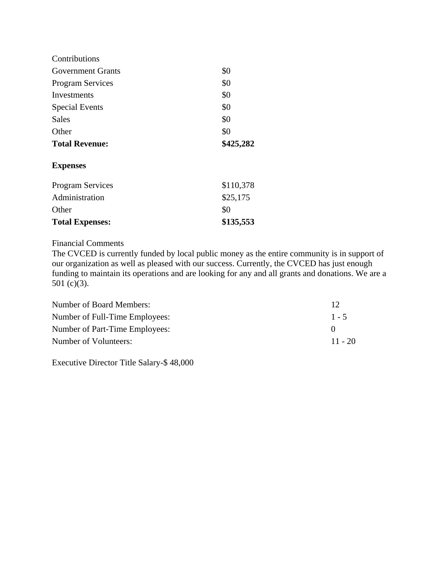| Contributions           |           |
|-------------------------|-----------|
| Government Grants       | \$0       |
| <b>Program Services</b> | \$0       |
| Investments             | \$0       |
| <b>Special Events</b>   | \$0       |
| Sales                   | \$0       |
| Other                   | \$0       |
| <b>Total Revenue:</b>   | \$425,282 |
| <b>Expenses</b>         |           |
| <b>Program Services</b> | \$110,378 |
| Administration          | \$25,175  |
| Other                   | \$0       |
| <b>Total Expenses:</b>  | \$135,553 |

#### Financial Comments

The CVCED is currently funded by local public money as the entire community is in support of our organization as well as pleased with our success. Currently, the CVCED has just enough funding to maintain its operations and are looking for any and all grants and donations. We are a 501 $(c)(3)$ .

| Number of Board Members:       | 12        |
|--------------------------------|-----------|
| Number of Full-Time Employees: | $1 - 5$   |
| Number of Part-Time Employees: |           |
| Number of Volunteers:          | $11 - 20$ |

Executive Director Title Salary-\$ 48,000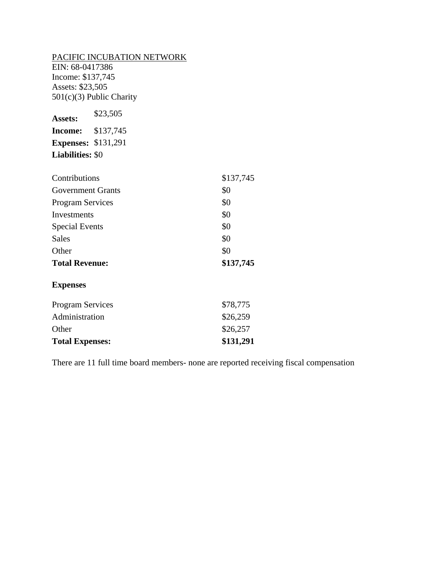#### PACIFIC INCUBATION NETWORK

EIN: 68-0417386 Income: \$137,745 Assets: \$23,505 501(c)(3) Public Charity

**Assets:** \$23,505 **Income:** \$137,745 **Expenses:** \$131,291 **Liabilities:** \$0

| Contributions            | \$137,745 |
|--------------------------|-----------|
| <b>Government Grants</b> | \$0       |
| <b>Program Services</b>  | \$0       |
| Investments              | \$0       |
| <b>Special Events</b>    | \$0       |
| Sales                    | \$0       |
| Other                    | \$0       |
| <b>Total Revenue:</b>    | \$137,745 |

#### **Expenses**

| \$131,291 |
|-----------|
| \$26,257  |
| \$26,259  |
| \$78,775  |
|           |

There are 11 full time board members- none are reported receiving fiscal compensation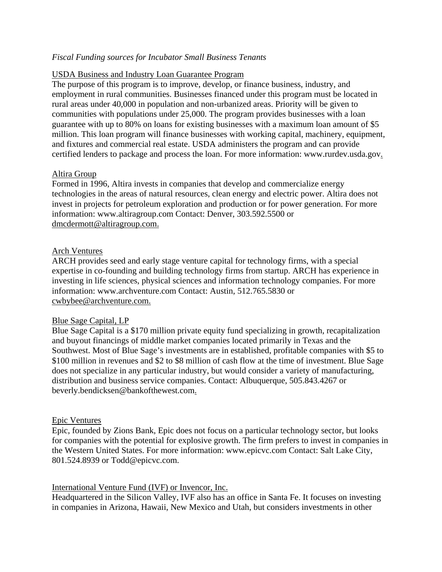#### *Fiscal Funding sources for Incubator Small Business Tenants*

#### USDA Business and Industry Loan Guarantee Program

The purpose of this program is to improve, develop, or finance business, industry, and employment in rural communities. Businesses financed under this program must be located in rural areas under 40,000 in population and non-urbanized areas. Priority will be given to communities with populations under 25,000. The program provides businesses with a loan guarantee with up to 80% on loans for existing businesses with a maximum loan amount of \$5 million. This loan program will finance businesses with working capital, machinery, equipment, and fixtures and commercial real estate. USDA administers the program and can provide certified lenders to package and process the loan. For more information: www.rurdev.usda.gov.

#### Altira Group

Formed in 1996, Altira invests in companies that develop and commercialize energy technologies in the areas of natural resources, clean energy and electric power. Altira does not invest in projects for petroleum exploration and production or for power generation. For more information: www.altiragroup.com Contact: Denver, 303.592.5500 or dmcdermott@altiragroup.com.

#### Arch Ventures

ARCH provides seed and early stage venture capital for technology firms, with a special expertise in co-founding and building technology firms from startup. ARCH has experience in investing in life sciences, physical sciences and information technology companies. For more information: www.archventure.com Contact: Austin, 512.765.5830 or cwbybee@archventure.com.

#### Blue Sage Capital, LP

Blue Sage Capital is a \$170 million private equity fund specializing in growth, recapitalization and buyout financings of middle market companies located primarily in Texas and the Southwest. Most of Blue Sage's investments are in established, profitable companies with \$5 to \$100 million in revenues and \$2 to \$8 million of cash flow at the time of investment. Blue Sage does not specialize in any particular industry, but would consider a variety of manufacturing, distribution and business service companies. Contact: Albuquerque, 505.843.4267 or beverly.bendicksen@bankofthewest.com.

#### Epic Ventures

Epic, founded by Zions Bank, Epic does not focus on a particular technology sector, but looks for companies with the potential for explosive growth. The firm prefers to invest in companies in the Western United States. For more information: www.epicvc.com Contact: Salt Lake City, 801.524.8939 or Todd@epicvc.com.

#### International Venture Fund (IVF) or Invencor, Inc.

Headquartered in the Silicon Valley, IVF also has an office in Santa Fe. It focuses on investing in companies in Arizona, Hawaii, New Mexico and Utah, but considers investments in other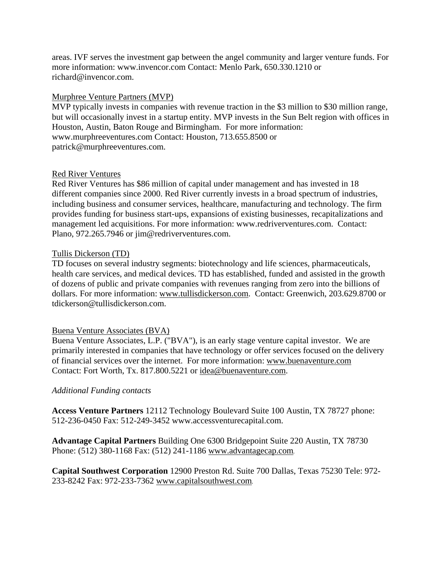areas. IVF serves the investment gap between the angel community and larger venture funds. For more information: www.invencor.com Contact: Menlo Park, 650.330.1210 or richard@invencor.com.

#### Murphree Venture Partners (MVP)

MVP typically invests in companies with revenue traction in the \$3 million to \$30 million range, but will occasionally invest in a startup entity. MVP invests in the Sun Belt region with offices in Houston, Austin, Baton Rouge and Birmingham. For more information: www.murphreeventures.com Contact: Houston, 713.655.8500 or patrick@murphreeventures.com.

#### Red River Ventures

Red River Ventures has \$86 million of capital under management and has invested in 18 different companies since 2000. Red River currently invests in a broad spectrum of industries, including business and consumer services, healthcare, manufacturing and technology. The firm provides funding for business start-ups, expansions of existing businesses, recapitalizations and management led acquisitions. For more information: www.redriverventures.com. Contact: Plano, 972.265.7946 or jim@redriverventures.com.

#### Tullis Dickerson (TD)

TD focuses on several industry segments: biotechnology and life sciences, pharmaceuticals, health care services, and medical devices. TD has established, funded and assisted in the growth of dozens of public and private companies with revenues ranging from zero into the billions of dollars. For more information: www.tullisdickerson.com. Contact: Greenwich, 203.629.8700 or tdickerson@tullisdickerson.com.

#### Buena Venture Associates (BVA)

Buena Venture Associates, L.P. ("BVA"), is an early stage venture capital investor. We are primarily interested in companies that have technology or offer services focused on the delivery of financial services over the internet. For more information: www.buenaventure.com Contact: Fort Worth, Tx. 817.800.5221 or idea@buenaventure.com.

#### *Additional Funding contacts*

**Access Venture Partners** 12112 Technology Boulevard Suite 100 Austin, TX 78727 phone: 512-236-0450 Fax: 512-249-3452 www.accessventurecapital.com.

**Advantage Capital Partners** Building One 6300 Bridgepoint Suite 220 Austin, TX 78730 Phone: (512) 380-1168 Fax: (512) 241-1186 www.advantagecap.com*.*

**Capital Southwest Corporation** 12900 Preston Rd. Suite 700 Dallas, Texas 75230 Tele: 972- 233-8242 Fax: 972-233-7362 www.capitalsouthwest.com*.*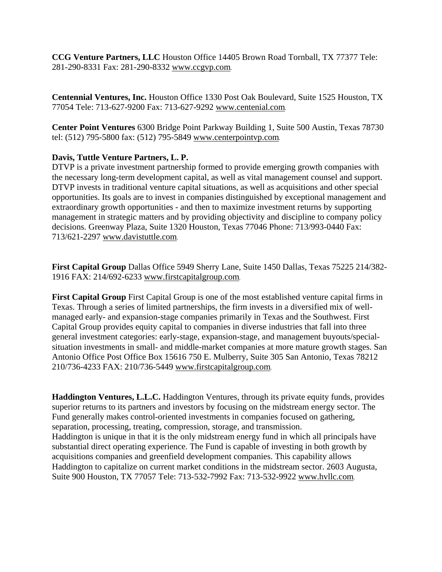**CCG Venture Partners, LLC** Houston Office 14405 Brown Road Tornball, TX 77377 Tele: 281-290-8331 Fax: 281-290-8332 www.ccgvp.com*.*

**Centennial Ventures, Inc.** Houston Office 1330 Post Oak Boulevard, Suite 1525 Houston, TX 77054 Tele: 713-627-9200 Fax: 713-627-9292 www.centenial.com*.*

**Center Point Ventures** 6300 Bridge Point Parkway Building 1, Suite 500 Austin, Texas 78730 tel: (512) 795-5800 fax: (512) 795-5849 www.centerpointvp.com*.*

#### **Davis, Tuttle Venture Partners, L. P.**

DTVP is a private investment partnership formed to provide emerging growth companies with the necessary long-term development capital, as well as vital management counsel and support. DTVP invests in traditional venture capital situations, as well as acquisitions and other special opportunities. Its goals are to invest in companies distinguished by exceptional management and extraordinary growth opportunities - and then to maximize investment returns by supporting management in strategic matters and by providing objectivity and discipline to company policy decisions. Greenway Plaza, Suite 1320 Houston, Texas 77046 Phone: 713/993-0440 Fax: 713/621-2297 www.davistuttle.com*.*

**First Capital Group** Dallas Office 5949 Sherry Lane, Suite 1450 Dallas, Texas 75225 214/382- 1916 FAX: 214/692-6233 www.firstcapitalgroup.com*.*

**First Capital Group** First Capital Group is one of the most established venture capital firms in Texas. Through a series of limited partnerships, the firm invests in a diversified mix of wellmanaged early- and expansion-stage companies primarily in Texas and the Southwest. First Capital Group provides equity capital to companies in diverse industries that fall into three general investment categories: early-stage, expansion-stage, and management buyouts/specialsituation investments in small- and middle-market companies at more mature growth stages. San Antonio Office Post Office Box 15616 750 E. Mulberry, Suite 305 San Antonio, Texas 78212 210/736-4233 FAX: 210/736-5449 www.firstcapitalgroup.com*.*

**Haddington Ventures, L.L.C.** Haddington Ventures, through its private equity funds, provides superior returns to its partners and investors by focusing on the midstream energy sector. The Fund generally makes control-oriented investments in companies focused on gathering, separation, processing, treating, compression, storage, and transmission. Haddington is unique in that it is the only midstream energy fund in which all principals have substantial direct operating experience. The Fund is capable of investing in both growth by acquisitions companies and greenfield development companies. This capability allows Haddington to capitalize on current market conditions in the midstream sector. 2603 Augusta, Suite 900 Houston, TX 77057 Tele: 713-532-7992 Fax: 713-532-9922 www.hvllc.com*.*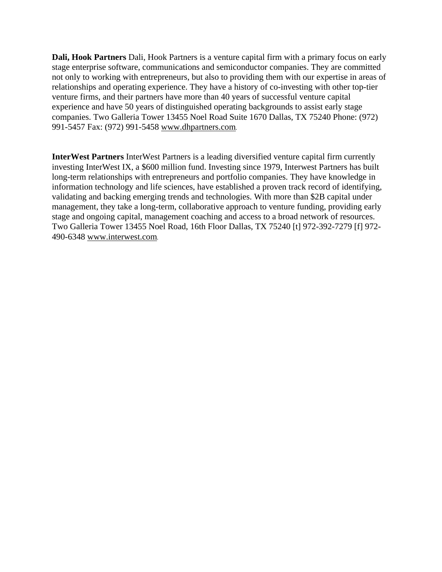**Dali, Hook Partners** Dali, Hook Partners is a venture capital firm with a primary focus on early stage enterprise software, communications and semiconductor companies. They are committed not only to working with entrepreneurs, but also to providing them with our expertise in areas of relationships and operating experience. They have a history of co-investing with other top-tier venture firms, and their partners have more than 40 years of successful venture capital experience and have 50 years of distinguished operating backgrounds to assist early stage companies. Two Galleria Tower 13455 Noel Road Suite 1670 Dallas, TX 75240 Phone: (972) 991-5457 Fax: (972) 991-5458 www.dhpartners.com*.*

**InterWest Partners** InterWest Partners is a leading diversified venture capital firm currently investing InterWest IX, a \$600 million fund. Investing since 1979, Interwest Partners has built long-term relationships with entrepreneurs and portfolio companies. They have knowledge in information technology and life sciences, have established a proven track record of identifying, validating and backing emerging trends and technologies. With more than \$2B capital under management, they take a long-term, collaborative approach to venture funding, providing early stage and ongoing capital, management coaching and access to a broad network of resources. Two Galleria Tower 13455 Noel Road, 16th Floor Dallas, TX 75240 [t] 972-392-7279 [f] 972- 490-6348 www.interwest.com*.*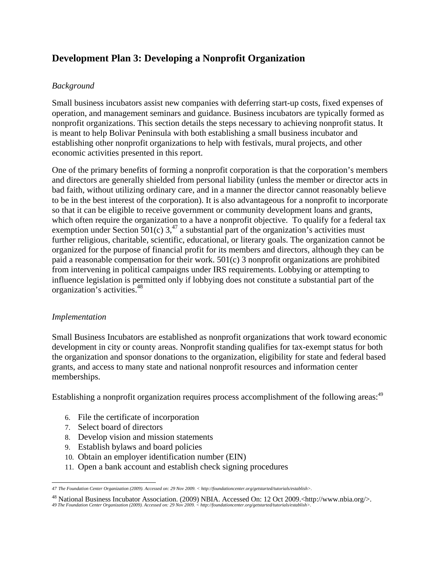## **Development Plan 3: Developing a Nonprofit Organization**

#### *Background*

Small business incubators assist new companies with deferring start-up costs, fixed expenses of operation, and management seminars and guidance. Business incubators are typically formed as nonprofit organizations. This section details the steps necessary to achieving nonprofit status. It is meant to help Bolivar Peninsula with both establishing a small business incubator and establishing other nonprofit organizations to help with festivals, mural projects, and other economic activities presented in this report.

One of the primary benefits of forming a nonprofit corporation is that the corporation's members and directors are generally shielded from personal liability (unless the member or director acts in bad faith, without utilizing ordinary care, and in a manner the director cannot reasonably believe to be in the best interest of the corporation). It is also advantageous for a nonprofit to incorporate so that it can be eligible to receive government or community development loans and grants, which often require the organization to a have a nonprofit objective. To qualify for a federal tax exemption under Section 501(c)  $3^{47}$  a substantial part of the organization's activities must further religious, charitable, scientific, educational, or literary goals. The organization cannot be organized for the purpose of financial profit for its members and directors, although they can be paid a reasonable compensation for their work. 501(c) 3 nonprofit organizations are prohibited from intervening in political campaigns under IRS requirements. Lobbying or attempting to influence legislation is permitted only if lobbying does not constitute a substantial part of the organization's activities.48

#### *Implementation*

Small Business Incubators are established as nonprofit organizations that work toward economic development in city or county areas. Nonprofit standing qualifies for tax-exempt status for both the organization and sponsor donations to the organization, eligibility for state and federal based grants, and access to many state and national nonprofit resources and information center memberships.

Establishing a nonprofit organization requires process accomplishment of the following areas:<sup>49</sup>

- 6. File the certificate of incorporation
- 7. Select board of directors
- 8. Develop vision and mission statements
- 9. Establish bylaws and board policies
- 10. Obtain an employer identification number (EIN)
- 11. Open a bank account and establish check signing procedures

 *47 The Foundation Center Organization (2009). Accessed on: 29 Nov 2009. < http://foundationcenter.org/getstarted/tutorials/establish>.*

<sup>&</sup>lt;sup>48</sup> National Business Incubator Association. (2009) NBIA. Accessed On: 12 Oct 2009.<http://www.nbia.org/>. *49 The Foundation Center Organization (2009). Accessed on: 29 Nov 2009. < http://foundationcenter.org/getstarted/tutorials/establish>.*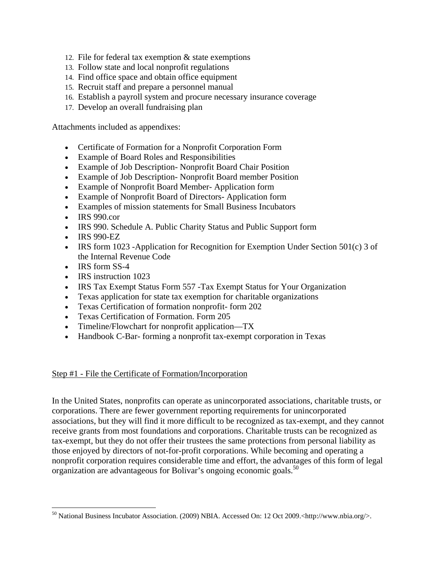- 12. File for federal tax exemption & state exemptions
- 13. Follow state and local nonprofit regulations
- 14. Find office space and obtain office equipment
- 15. Recruit staff and prepare a personnel manual
- 16. Establish a payroll system and procure necessary insurance coverage
- 17. Develop an overall fundraising plan

Attachments included as appendixes:

- Certificate of Formation for a Nonprofit Corporation Form
- Example of Board Roles and Responsibilities
- Example of Job Description- Nonprofit Board Chair Position
- Example of Job Description- Nonprofit Board member Position
- Example of Nonprofit Board Member- Application form
- Example of Nonprofit Board of Directors- Application form
- Examples of mission statements for Small Business Incubators
- $\cdot$  IRS 990.cor
- IRS 990. Schedule A. Public Charity Status and Public Support form
- IRS 990-EZ
- **IRS** form 1023 -Application for Recognition for Exemption Under Section 501(c) 3 of the Internal Revenue Code
- IRS form SS-4

 $\overline{a}$ 

- IRS instruction 1023
- IRS Tax Exempt Status Form 557 -Tax Exempt Status for Your Organization
- Texas application for state tax exemption for charitable organizations
- Texas Certification of formation nonprofit- form 202
- Texas Certification of Formation. Form 205
- Timeline/Flowchart for nonprofit application—TX
- Handbook C-Bar- forming a nonprofit tax-exempt corporation in Texas

#### Step #1 - File the Certificate of Formation/Incorporation

In the United States, nonprofits can operate as unincorporated associations, charitable trusts, or corporations. There are fewer government reporting requirements for unincorporated associations, but they will find it more difficult to be recognized as tax-exempt, and they cannot receive grants from most foundations and corporations. Charitable trusts can be recognized as tax-exempt, but they do not offer their trustees the same protections from personal liability as those enjoyed by directors of not-for-profit corporations. While becoming and operating a nonprofit corporation requires considerable time and effort, the advantages of this form of legal organization are advantageous for Bolivar's ongoing economic goals.<sup>50</sup>

<sup>50</sup> National Business Incubator Association. (2009) NBIA. Accessed On: 12 Oct 2009.<http://www.nbia.org/>.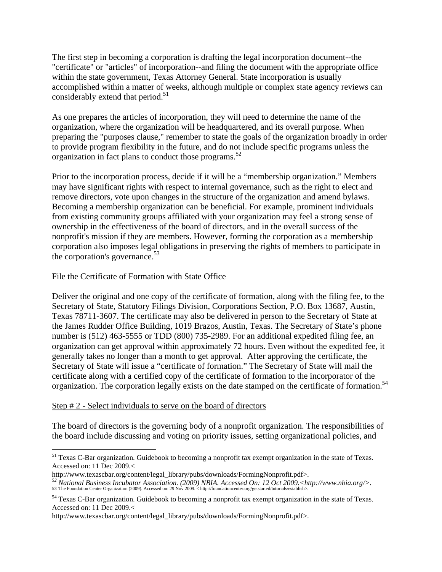The first step in becoming a corporation is drafting the legal incorporation document--the "certificate" or "articles" of incorporation--and filing the document with the appropriate office within the state government, Texas Attorney General. State incorporation is usually accomplished within a matter of weeks, although multiple or complex state agency reviews can considerably extend that period. $51$ 

As one prepares the articles of incorporation, they will need to determine the name of the organization, where the organization will be headquartered, and its overall purpose. When preparing the "purposes clause," remember to state the goals of the organization broadly in order to provide program flexibility in the future, and do not include specific programs unless the organization in fact plans to conduct those programs.<sup>52</sup>

Prior to the incorporation process, decide if it will be a "membership organization." Members may have significant rights with respect to internal governance, such as the right to elect and remove directors, vote upon changes in the structure of the organization and amend bylaws. Becoming a membership organization can be beneficial. For example, prominent individuals from existing community groups affiliated with your organization may feel a strong sense of ownership in the effectiveness of the board of directors, and in the overall success of the nonprofit's mission if they are members. However, forming the corporation as a membership corporation also imposes legal obligations in preserving the rights of members to participate in the corporation's governance. $53$ 

File the Certificate of Formation with State Office

Deliver the original and one copy of the certificate of formation, along with the filing fee, to the Secretary of State, Statutory Filings Division, Corporations Section, P.O. Box 13687, Austin, Texas 78711-3607. The certificate may also be delivered in person to the Secretary of State at the James Rudder Office Building, 1019 Brazos, Austin, Texas. The Secretary of State's phone number is (512) 463-5555 or TDD (800) 735-2989. For an additional expedited filing fee, an organization can get approval within approximately 72 hours. Even without the expedited fee, it generally takes no longer than a month to get approval. After approving the certificate, the Secretary of State will issue a "certificate of formation." The Secretary of State will mail the certificate along with a certified copy of the certificate of formation to the incorporator of the organization. The corporation legally exists on the date stamped on the certificate of formation.<sup>54</sup>

#### Step # 2 - Select individuals to serve on the board of directors

 $\overline{a}$ 

The board of directors is the governing body of a nonprofit organization. The responsibilities of the board include discussing and voting on priority issues, setting organizational policies, and

<sup>&</sup>lt;sup>51</sup> Texas C-Bar organization. Guidebook to becoming a nonprofit tax exempt organization in the state of Texas. Accessed on: 11 Dec 2009.<

http://www.texascbar.org/content/legal\_library/pubs/downloads/FormingNonprofit.pdf>.<br><sup>52</sup> National Business Incubator Association. (2009) NBIA. Accessed On: 12 Oct 2009.<http://www.nbia.org/>.<br>53 The Foundation Center Orga

<sup>&</sup>lt;sup>54</sup> Texas C-Bar organization. Guidebook to becoming a nonprofit tax exempt organization in the state of Texas. Accessed on: 11 Dec 2009.<

http://www.texascbar.org/content/legal\_library/pubs/downloads/FormingNonprofit.pdf>.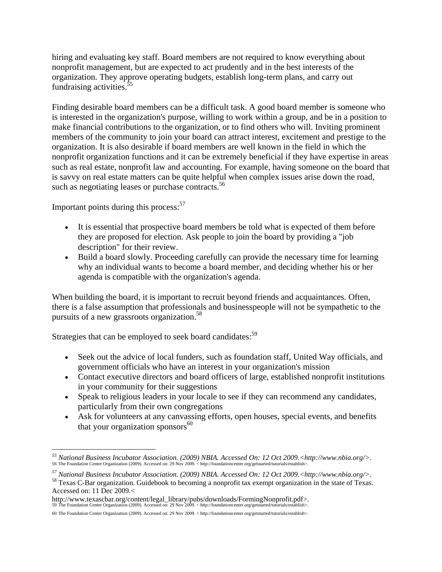hiring and evaluating key staff. Board members are not required to know everything about nonprofit management, but are expected to act prudently and in the best interests of the organization. They approve operating budgets, establish long-term plans, and carry out fundraising activities.<sup>5</sup>

Finding desirable board members can be a difficult task. A good board member is someone who is interested in the organization's purpose, willing to work within a group, and be in a position to make financial contributions to the organization, or to find others who will. Inviting prominent members of the community to join your board can attract interest, excitement and prestige to the organization. It is also desirable if board members are well known in the field in which the nonprofit organization functions and it can be extremely beneficial if they have expertise in areas such as real estate, nonprofit law and accounting. For example, having someone on the board that is savvy on real estate matters can be quite helpful when complex issues arise down the road, such as negotiating leases or purchase contracts.<sup>56</sup>

Important points during this process: $57$ 

 $\overline{a}$ 

- It is essential that prospective board members be told what is expected of them before they are proposed for election. Ask people to join the board by providing a "job description" for their review.
- Build a board slowly. Proceeding carefully can provide the necessary time for learning why an individual wants to become a board member, and deciding whether his or her agenda is compatible with the organization's agenda.

When building the board, it is important to recruit beyond friends and acquaintances. Often, there is a false assumption that professionals and businesspeople will not be sympathetic to the pursuits of a new grassroots organization.<sup>58</sup>

Strategies that can be employed to seek board candidates:<sup>59</sup>

- Seek out the advice of local funders, such as foundation staff, United Way officials, and government officials who have an interest in your organization's mission
- Contact executive directors and board officers of large, established nonprofit institutions in your community for their suggestions
- Speak to religious leaders in your locale to see if they can recommend any candidates, particularly from their own congregations
- Ask for volunteers at any canvassing efforts, open houses, special events, and benefits that your organization sponsors $60$

<sup>&</sup>lt;sup>55</sup> National Business Incubator Association. (2009) NBIA. Accessed On: 12 Oct 2009.<http://www.nbia.org/>.<br>56 The Foundation Center Organization (2009). Accessed on: 29 Nov 2009. < http://foundationcenter.org/getstarted/t

<sup>&</sup>lt;sup>57</sup> National Business Incubator Association. (2009) NBIA. Accessed On: 12 Oct 2009.<http://www.nbia.org/>. <sup>58</sup> Texas C-Bar organization. Guidebook to becoming a nonprofit tax exempt organization in the state of Texas.

Accessed on: 11 Dec 2009.<

http://www.texascbar.org/content/legal\_library/pubs/downloads/FormingNonprofit.pdf>. 59 The Foundation Center Organization (2009). Accessed on: 29 Nov 2009. < http://foundationcenter.org/getstarted/tutorials/establish>.

<sup>60</sup> The Foundation Center Organization (2009). Accessed on: 29 Nov 2009. < http://foundationcenter.org/getstarted/tutorials/establish>.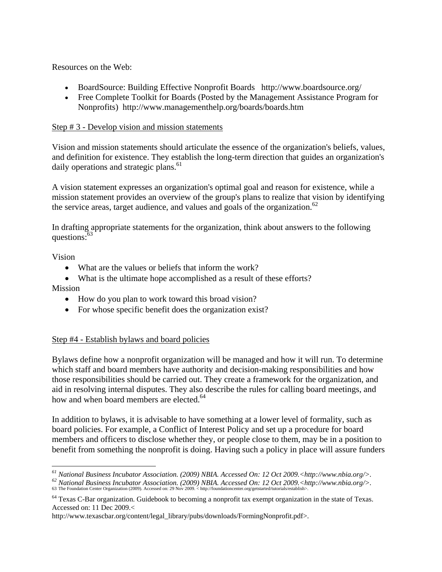Resources on the Web:

- BoardSource: Building Effective Nonprofit Boards http://www.boardsource.org/
- Free Complete Toolkit for Boards (Posted by the Management Assistance Program for Nonprofits) http://www.managementhelp.org/boards/boards.htm

#### Step # 3 - Develop vision and mission statements

Vision and mission statements should articulate the essence of the organization's beliefs, values, and definition for existence. They establish the long-term direction that guides an organization's daily operations and strategic plans.<sup>61</sup>

A vision statement expresses an organization's optimal goal and reason for existence, while a mission statement provides an overview of the group's plans to realize that vision by identifying the service areas, target audience, and values and goals of the organization.<sup>62</sup>

In drafting appropriate statements for the organization, think about answers to the following questions: $63$ 

Vision

- What are the values or beliefs that inform the work?
- What is the ultimate hope accomplished as a result of these efforts?

Mission

- How do you plan to work toward this broad vision?
- For whose specific benefit does the organization exist?

#### Step #4 - Establish bylaws and board policies

Bylaws define how a nonprofit organization will be managed and how it will run. To determine which staff and board members have authority and decision-making responsibilities and how those responsibilities should be carried out. They create a framework for the organization, and aid in resolving internal disputes. They also describe the rules for calling board meetings, and how and when board members are elected.<sup>64</sup>

In addition to bylaws, it is advisable to have something at a lower level of formality, such as board policies. For example, a Conflict of Interest Policy and set up a procedure for board members and officers to disclose whether they, or people close to them, may be in a position to benefit from something the nonprofit is doing. Having such a policy in place will assure funders

 $^{61}$  National Business Incubator Association. (2009) NBIA. Accessed On: 12 Oct 2009.<http://www.nbia.org/>.

 $^{62}$  National Business Incubator Association. (2009) NBIA. Accessed On: 12 Oct 2009, <http://www.nbia.org/>.<br>63 The Foundation Center Organization (2009). Accessed on: 29 Nov 2009. <http://foundationcenter.org/getstarte

<sup>&</sup>lt;sup>64</sup> Texas C-Bar organization. Guidebook to becoming a nonprofit tax exempt organization in the state of Texas. Accessed on: 11 Dec 2009.<

http://www.texascbar.org/content/legal\_library/pubs/downloads/FormingNonprofit.pdf>.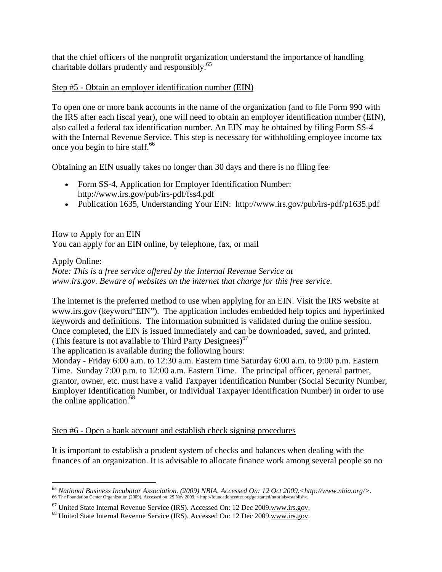that the chief officers of the nonprofit organization understand the importance of handling charitable dollars prudently and responsibly.<sup>65</sup>

#### Step #5 - Obtain an employer identification number (EIN)

To open one or more bank accounts in the name of the organization (and to file Form 990 with the IRS after each fiscal year), one will need to obtain an employer identification number (EIN), also called a federal tax identification number. An EIN may be obtained by filing Form SS-4 with the Internal Revenue Service. This step is necessary for withholding employee income tax once you begin to hire staff. $66$ 

Obtaining an EIN usually takes no longer than 30 days and there is no filing fee*:* 

- Form SS-4, Application for Employer Identification Number: http://www.irs.gov/pub/irs-pdf/fss4.pdf
- Publication 1635, Understanding Your EIN: http://www.irs.gov/pub/irs-pdf/p1635.pdf

How to Apply for an EIN You can apply for an EIN online, by telephone, fax, or mail

Apply Online: *Note: This is a free service offered by the Internal Revenue Service at www.irs.gov. Beware of websites on the internet that charge for this free service.* 

The internet is the preferred method to use when applying for an EIN. Visit the IRS website at www.irs.gov (keyword"EIN"). The application includes embedded help topics and hyperlinked keywords and definitions. The information submitted is validated during the online session. Once completed, the EIN is issued immediately and can be downloaded, saved, and printed. (This feature is not available to Third Party Designees)<sup>67</sup>

The application is available during the following hours:

 $\overline{a}$ 

Monday - Friday 6:00 a.m. to 12:30 a.m. Eastern time Saturday 6:00 a.m. to 9:00 p.m. Eastern Time. Sunday 7:00 p.m. to 12:00 a.m. Eastern Time. The principal officer, general partner, grantor, owner, etc. must have a valid Taxpayer Identification Number (Social Security Number, Employer Identification Number, or Individual Taxpayer Identification Number) in order to use the online application.<sup>68</sup>

Step #6 - Open a bank account and establish check signing procedures

It is important to establish a prudent system of checks and balances when dealing with the finances of an organization. It is advisable to allocate finance work among several people so no

<sup>&</sup>lt;sup>65</sup> National Business Incubator Association. (2009) NBIA. Accessed On: 12 Oct 2009.<http://www.nbia.org/>.<br>66 The Foundation Center Organization (2009). Accessed on: 29 Nov 2009. < http://foundationcenter.org/getstarted/t

<sup>&</sup>lt;sup>67</sup> United State Internal Revenue Service (IRS). Accessed On: 12 Dec 2009.www.irs.gov. <sup>68</sup> United State Internal Revenue Service (IRS). Accessed On: 12 Dec 2009.www.irs.gov.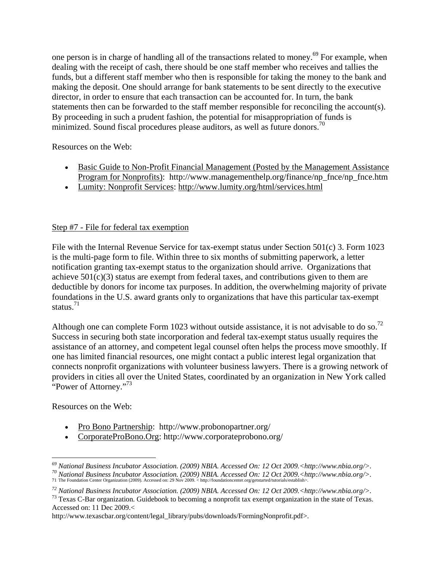one person is in charge of handling all of the transactions related to money.<sup>69</sup> For example, when dealing with the receipt of cash, there should be one staff member who receives and tallies the funds, but a different staff member who then is responsible for taking the money to the bank and making the deposit. One should arrange for bank statements to be sent directly to the executive director, in order to ensure that each transaction can be accounted for. In turn, the bank statements then can be forwarded to the staff member responsible for reconciling the account(s). By proceeding in such a prudent fashion, the potential for misappropriation of funds is minimized. Sound fiscal procedures please auditors, as well as future donors.<sup>70</sup>

Resources on the Web:

- Basic Guide to Non-Profit Financial Management (Posted by the Management Assistance Program for Nonprofits): http://www.managementhelp.org/finance/np\_fnce/np\_fnce.htm
- Lumity: Nonprofit Services: http://www.lumity.org/html/services.html

#### Step #7 - File for federal tax exemption

File with the Internal Revenue Service for tax-exempt status under Section 501(c) 3. Form 1023 is the multi-page form to file. Within three to six months of submitting paperwork, a letter notification granting tax-exempt status to the organization should arrive. Organizations that achieve  $501(c)(3)$  status are exempt from federal taxes, and contributions given to them are deductible by donors for income tax purposes. In addition, the overwhelming majority of private foundations in the U.S. award grants only to organizations that have this particular tax-exempt status.<sup>71</sup>

Although one can complete Form 1023 without outside assistance, it is not advisable to do so.<sup>72</sup> Success in securing both state incorporation and federal tax-exempt status usually requires the assistance of an attorney, and competent legal counsel often helps the process move smoothly. If one has limited financial resources, one might contact a public interest legal organization that connects nonprofit organizations with volunteer business lawyers. There is a growing network of providers in cities all over the United States, coordinated by an organization in New York called "Power of Attorney."<sup>73</sup>

Resources on the Web:

- Pro Bono Partnership: http://www.probonopartner.org/
- CorporateProBono.Org: http://www.corporateprobono.org/

http://www.texascbar.org/content/legal\_library/pubs/downloads/FormingNonprofit.pdf>.

 $\overline{a}$ <sup>69</sup> National Business Incubator Association. (2009) NBIA. Accessed On: 12 Oct 2009.<http://www.nbia.org/>.<br><sup>70</sup> National Business Incubator Association. (2009) NBIA. Accessed On: 12 Oct 2009.<http://www.nbia.org/>.<br><sup>71</sup>

*<sup>72</sup> National Business Incubator Association. (2009) NBIA. Accessed On: 12 Oct 2009.<http://www.nbia.org/>.* 73 Texas C-Bar organization. Guidebook to becoming a nonprofit tax exempt organization in the state of Texas.

Accessed on: 11 Dec 2009.<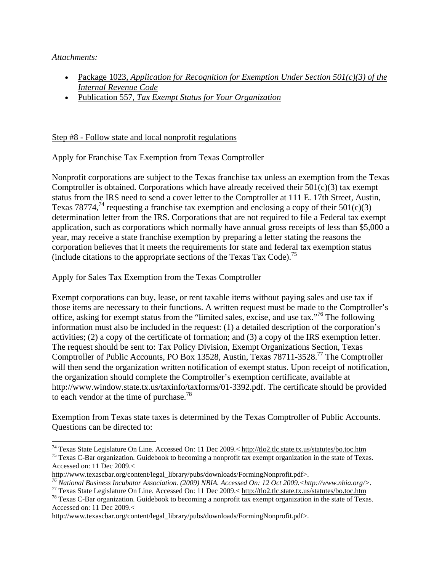*Attachments:* 

 $\overline{a}$ 

- Package 1023, *Application for Recognition for Exemption Under Section 501(c)(3) of the Internal Revenue Code*
- Publication 557, *Tax Exempt Status for Your Organization*

#### Step #8 - Follow state and local nonprofit regulations

Apply for Franchise Tax Exemption from Texas Comptroller

Nonprofit corporations are subject to the Texas franchise tax unless an exemption from the Texas Comptroller is obtained. Corporations which have already received their  $501(c)(3)$  tax exempt status from the IRS need to send a cover letter to the Comptroller at 111 E. 17th Street, Austin, Texas 78774,<sup>74</sup> requesting a franchise tax exemption and enclosing a copy of their  $501(c)(3)$ determination letter from the IRS. Corporations that are not required to file a Federal tax exempt application, such as corporations which normally have annual gross receipts of less than \$5,000 a year, may receive a state franchise exemption by preparing a letter stating the reasons the corporation believes that it meets the requirements for state and federal tax exemption status (include citations to the appropriate sections of the Texas Tax Code).<sup>75</sup>

Apply for Sales Tax Exemption from the Texas Comptroller

Exempt corporations can buy, lease, or rent taxable items without paying sales and use tax if those items are necessary to their functions. A written request must be made to the Comptroller's office, asking for exempt status from the "limited sales, excise, and use tax."76 The following information must also be included in the request: (1) a detailed description of the corporation's activities; (2) a copy of the certificate of formation; and (3) a copy of the IRS exemption letter. The request should be sent to: Tax Policy Division, Exempt Organizations Section, Texas Comptroller of Public Accounts, PO Box 13528, Austin, Texas 78711-3528.77 The Comptroller will then send the organization written notification of exempt status. Upon receipt of notification, the organization should complete the Comptroller's exemption certificate, available at http://www.window.state.tx.us/taxinfo/taxforms/01-3392.pdf. The certificate should be provided to each vendor at the time of purchase.<sup>78</sup>

Exemption from Texas state taxes is determined by the Texas Comptroller of Public Accounts. Questions can be directed to:

<sup>&</sup>lt;sup>74</sup> Texas State Legislature On Line. Accessed On: 11 Dec 2009.< http://tlo2.tlc.state.tx.us/statutes/bo.toc.htm <sup>75</sup> Texas C-Bar organization. Guidebook to becoming a nonprofit tax exempt organization in the state of Tex

Accessed on: 11 Dec 2009.<<br>http://www.texascbar.org/content/legal\_library/pubs/downloads/FormingNonprofit.pdf>.

<sup>&</sup>lt;sup>76</sup> National Business Incubator Association. (2009) NBIA. Accessed On: 12 Oct 2009.<http://www.nbia.org/>.<br><sup>77</sup> Texas State Legislature On Line. Accessed On: 11 Dec 2009.< http://tlo2.tlc.state.tx.us/statutes/bo.toc.htm

Accessed on: 11 Dec 2009.<

http://www.texascbar.org/content/legal\_library/pubs/downloads/FormingNonprofit.pdf>.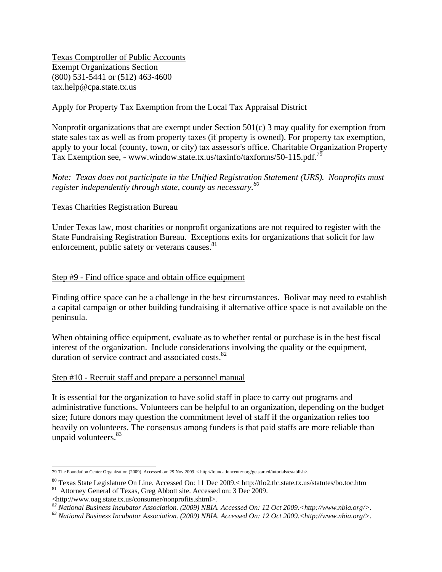Texas Comptroller of Public Accounts Exempt Organizations Section (800) 531-5441 or (512) 463-4600 tax.help@cpa.state.tx.us

#### Apply for Property Tax Exemption from the Local Tax Appraisal District

Nonprofit organizations that are exempt under Section 501(c) 3 may qualify for exemption from state sales tax as well as from property taxes (if property is owned). For property tax exemption, apply to your local (county, town, or city) tax assessor's office. Charitable Organization Property Tax Exemption see, - www.window.state.tx.us/taxinfo/taxforms/50-115.pdf.<sup>79</sup>

#### *Note: Texas does not participate in the Unified Registration Statement (URS). Nonprofits must register independently through state, county as necessary.80*

#### Texas Charities Registration Bureau

Under Texas law, most charities or nonprofit organizations are not required to register with the State Fundraising Registration Bureau. Exceptions exits for organizations that solicit for law enforcement, public safety or veterans causes. $81$ 

#### Step #9 - Find office space and obtain office equipment

Finding office space can be a challenge in the best circumstances. Bolivar may need to establish a capital campaign or other building fundraising if alternative office space is not available on the peninsula.

When obtaining office equipment, evaluate as to whether rental or purchase is in the best fiscal interest of the organization. Include considerations involving the quality or the equipment, duration of service contract and associated costs.<sup>82</sup>

#### Step #10 - Recruit staff and prepare a personnel manual

It is essential for the organization to have solid staff in place to carry out programs and administrative functions. Volunteers can be helpful to an organization, depending on the budget size; future donors may question the commitment level of staff if the organization relies too heavily on volunteers. The consensus among funders is that paid staffs are more reliable than unpaid volunteers.<sup>83</sup>

 79 The Foundation Center Organization (2009). Accessed on: 29 Nov 2009. < http://foundationcenter.org/getstarted/tutorials/establish>.

<sup>&</sup>lt;sup>80</sup> Texas State Legislature On Line. Accessed On: 11 Dec 2009.< http://tlo2.tlc.state.tx.us/statutes/bo.toc.htm <sup>81</sup> Attorney General of Texas, Greg Abbott site. Accessed on: 3 Dec 2009.<br>

<sup>&</sup>lt;sup>82</sup> National Business Incubator Association. (2009) NBIA. Accessed On: 12 Oct 2009.<http://www.nbia.org/>.<br><sup>83</sup> National Business Incubator Association. (2009) NBIA. Accessed On: 12 Oct 2009.<http://www.nbia.org/>.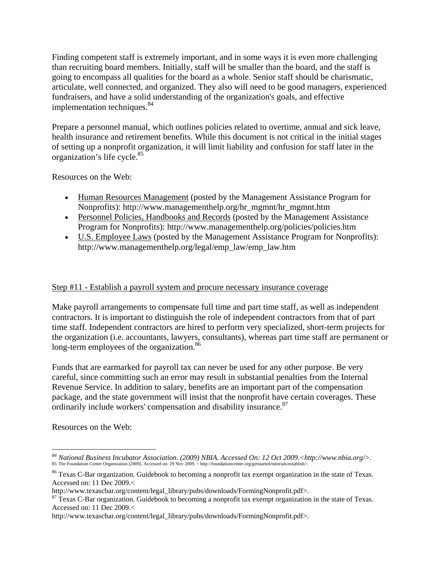Finding competent staff is extremely important, and in some ways it is even more challenging than recruiting board members. Initially, staff will be smaller than the board, and the staff is going to encompass all qualities for the board as a whole. Senior staff should be charismatic, articulate, well connected, and organized. They also will need to be good managers, experienced fundraisers, and have a solid understanding of the organization's goals, and effective implementation techniques.<sup>84</sup>

Prepare a personnel manual, which outlines policies related to overtime, annual and sick leave, health insurance and retirement benefits. While this document is not critical in the initial stages of setting up a nonprofit organization, it will limit liability and confusion for staff later in the organization's life cycle.<sup>85</sup>

Resources on the Web:

- Human Resources Management (posted by the Management Assistance Program for Nonprofits): http://www.managementhelp.org/hr\_mgmnt/hr\_mgmnt.htm
- Personnel Policies, Handbooks and Records (posted by the Management Assistance Program for Nonprofits): http://www.managementhelp.org/policies/policies.htm
- U.S. Employee Laws (posted by the Management Assistance Program for Nonprofits): http://www.managementhelp.org/legal/emp\_law/emp\_law.htm

#### Step #11 - Establish a payroll system and procure necessary insurance coverage

Make payroll arrangements to compensate full time and part time staff, as well as independent contractors. It is important to distinguish the role of independent contractors from that of part time staff. Independent contractors are hired to perform very specialized, short-term projects for the organization (i.e. accountants, lawyers, consultants), whereas part time staff are permanent or long-term employees of the organization.<sup>86</sup>

Funds that are earmarked for payroll tax can never be used for any other purpose. Be very careful, since committing such an error may result in substantial penalties from the Internal Revenue Service. In addition to salary, benefits are an important part of the compensation package, and the state government will insist that the nonprofit have certain coverages. These ordinarily include workers' compensation and disability insurance.<sup>87</sup>

Resources on the Web:

 $\overline{a}$ 

<sup>&</sup>lt;sup>84</sup> National Business Incubator Association. (2009) NBIA. Accessed On: 12 Oct 2009.<http://www.nbia.org/>.<br>85 The Foundation Center Organization (2009). Accessed on: 29 Nov 2009. < http://foundationcenter.org/getstarted/t

<sup>86</sup> Texas C-Bar organization. Guidebook to becoming a nonprofit tax exempt organization in the state of Texas. Accessed on: 11 Dec 2009.<<br>http://www.texascbar.org/content/legal\_library/pubs/downloads/FormingNonprofit.pdf>.

 $\frac{87}{37}$  Texas C-Bar organization. Guidebook to becoming a nonprofit tax exempt organization in the state of Texas. Accessed on: 11 Dec 2009.<

http://www.texascbar.org/content/legal\_library/pubs/downloads/FormingNonprofit.pdf>.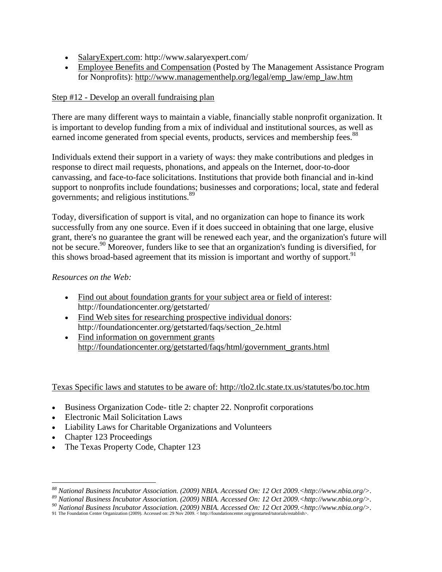- SalaryExpert.com: http://www.salaryexpert.com/
- Employee Benefits and Compensation (Posted by The Management Assistance Program for Nonprofits): http://www.managementhelp.org/legal/emp\_law/emp\_law.htm

#### Step #12 - Develop an overall fundraising plan

There are many different ways to maintain a viable, financially stable nonprofit organization. It is important to develop funding from a mix of individual and institutional sources, as well as earned income generated from special events, products, services and membership fees.<sup>88</sup>

Individuals extend their support in a variety of ways: they make contributions and pledges in response to direct mail requests, phonations, and appeals on the Internet, door-to-door canvassing, and face-to-face solicitations. Institutions that provide both financial and in-kind support to nonprofits include foundations; businesses and corporations; local, state and federal governments; and religious institutions.89

Today, diversification of support is vital, and no organization can hope to finance its work successfully from any one source. Even if it does succeed in obtaining that one large, elusive grant, there's no guarantee the grant will be renewed each year, and the organization's future will not be secure.<sup>90</sup> Moreover, funders like to see that an organization's funding is diversified, for this shows broad-based agreement that its mission is important and worthy of support.<sup>91</sup>

#### *Resources on the Web:*

- Find out about foundation grants for your subject area or field of interest: http://foundationcenter.org/getstarted/
- Find Web sites for researching prospective individual donors: http://foundationcenter.org/getstarted/faqs/section\_2e.html
- Find information on government grants http://foundationcenter.org/getstarted/faqs/html/government\_grants.html

#### Texas Specific laws and statutes to be aware of: http://tlo2.tlc.state.tx.us/statutes/bo.toc.htm

- Business Organization Code- title 2: chapter 22. Nonprofit corporations
- Electronic Mail Solicitation Laws
- Liability Laws for Charitable Organizations and Volunteers
- Chapter 123 Proceedings
- The Texas Property Code, Chapter 123

 $^{88}$  National Business Incubator Association. (2009) NBIA. Accessed On: 12 Oct 2009.<http://www.nbia.org/>. <sup>88</sup> National Business Incubator Association. (2009) NBIA. Accessed On: 12 Oct 2009.<http://www.nbia.org/>.<br><sup>89</sup> National Business Incubator Association. (2009) NBIA. Accessed On: 12 Oct 2009.<http://www.nbia.org/>.<br><sup>90</sup> N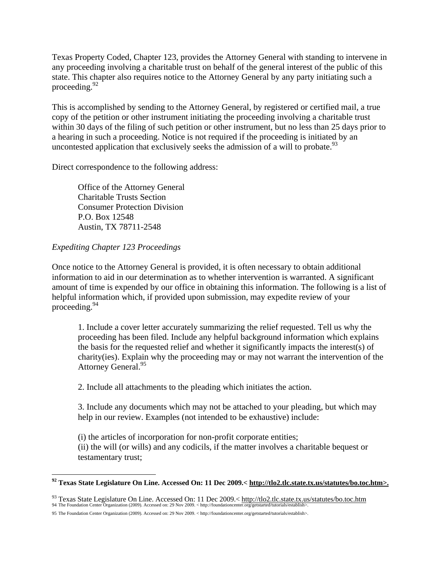Texas Property Coded, Chapter 123, provides the Attorney General with standing to intervene in any proceeding involving a charitable trust on behalf of the general interest of the public of this state. This chapter also requires notice to the Attorney General by any party initiating such a proceeding.  $92$ 

This is accomplished by sending to the Attorney General, by registered or certified mail, a true copy of the petition or other instrument initiating the proceeding involving a charitable trust within 30 days of the filing of such petition or other instrument, but no less than 25 days prior to a hearing in such a proceeding. Notice is not required if the proceeding is initiated by an uncontested application that exclusively seeks the admission of a will to probate.<sup>93</sup>

Direct correspondence to the following address:

Office of the Attorney General Charitable Trusts Section Consumer Protection Division P.O. Box 12548 Austin, TX 78711-2548

#### *Expediting Chapter 123 Proceedings*

 $\overline{a}$ 

Once notice to the Attorney General is provided, it is often necessary to obtain additional information to aid in our determination as to whether intervention is warranted. A significant amount of time is expended by our office in obtaining this information. The following is a list of helpful information which, if provided upon submission, may expedite review of your proceeding.94

1. Include a cover letter accurately summarizing the relief requested. Tell us why the proceeding has been filed. Include any helpful background information which explains the basis for the requested relief and whether it significantly impacts the interest(s) of charity(ies). Explain why the proceeding may or may not warrant the intervention of the Attorney General.<sup>95</sup>

2. Include all attachments to the pleading which initiates the action.

3. Include any documents which may not be attached to your pleading, but which may help in our review. Examples (not intended to be exhaustive) include:

(i) the articles of incorporation for non-profit corporate entities;

(ii) the will (or wills) and any codicils, if the matter involves a charitable bequest or testamentary trust;

**<sup>92</sup> Texas State Legislature On Line. Accessed On: 11 Dec 2009.< http://tlo2.tlc.state.tx.us/statutes/bo.toc.htm>.** 

<sup>93</sup> Texas State Legislature On Line. Accessed On: 11 Dec 2009.< http://tlo2.tlc.state.tx.us/statutes/bo.toc.htm 94 The Foundation Center Organization (2009). Accessed on: 29 Nov 2009. < http://foundationcenter.org/getstarted/tutorials/establish>.

<sup>95</sup> The Foundation Center Organization (2009). Accessed on: 29 Nov 2009. < http://foundationcenter.org/getstarted/tutorials/establish>.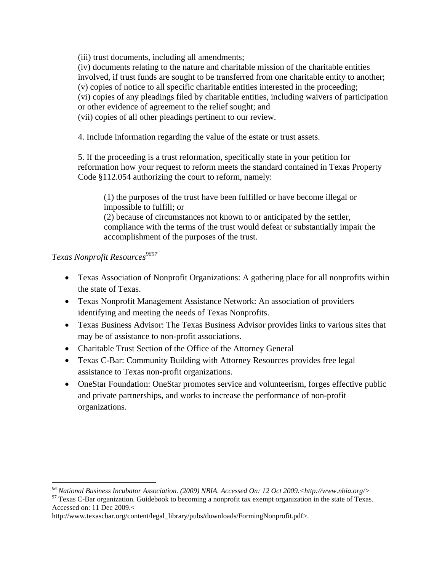(iii) trust documents, including all amendments;

(iv) documents relating to the nature and charitable mission of the charitable entities involved, if trust funds are sought to be transferred from one charitable entity to another; (v) copies of notice to all specific charitable entities interested in the proceeding; (vi) copies of any pleadings filed by charitable entities, including waivers of participation or other evidence of agreement to the relief sought; and

(vii) copies of all other pleadings pertinent to our review.

4. Include information regarding the value of the estate or trust assets.

5. If the proceeding is a trust reformation, specifically state in your petition for reformation how your request to reform meets the standard contained in Texas Property Code §112.054 authorizing the court to reform, namely:

(1) the purposes of the trust have been fulfilled or have become illegal or impossible to fulfill; or (2) because of circumstances not known to or anticipated by the settler, compliance with the terms of the trust would defeat or substantially impair the accomplishment of the purposes of the trust.

#### *Texas Nonprofit Resources*<sup>9697</sup>

 $\overline{a}$ 

- Texas Association of Nonprofit Organizations: A gathering place for all nonprofits within the state of Texas.
- Texas Nonprofit Management Assistance Network: An association of providers identifying and meeting the needs of Texas Nonprofits.
- Texas Business Advisor: The Texas Business Advisor provides links to various sites that may be of assistance to non-profit associations.
- Charitable Trust Section of the Office of the Attorney General
- Texas C-Bar: Community Building with Attorney Resources provides free legal assistance to Texas non-profit organizations.
- OneStar Foundation: OneStar promotes service and volunteerism, forges effective public and private partnerships, and works to increase the performance of non-profit organizations.

*<sup>96</sup> National Business Incubator Association. (2009) NBIA. Accessed On: 12 Oct 2009.<http://www.nbia.org/>* 

<sup>&</sup>lt;sup>97</sup> Texas C-Bar organization. Guidebook to becoming a nonprofit tax exempt organization in the state of Texas. Accessed on: 11 Dec 2009.<

http://www.texascbar.org/content/legal\_library/pubs/downloads/FormingNonprofit.pdf>.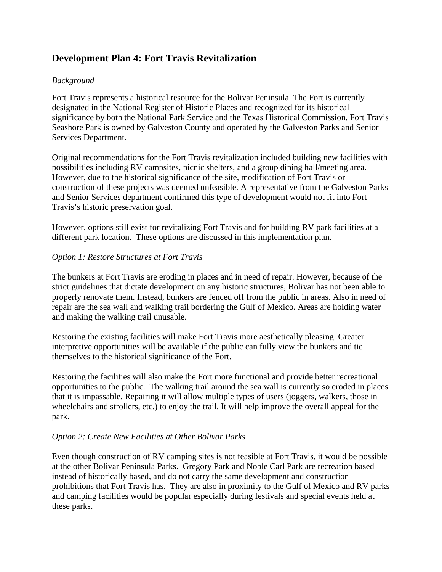## **Development Plan 4: Fort Travis Revitalization**

#### *Background*

Fort Travis represents a historical resource for the Bolivar Peninsula. The Fort is currently designated in the National Register of Historic Places and recognized for its historical significance by both the National Park Service and the Texas Historical Commission. Fort Travis Seashore Park is owned by Galveston County and operated by the Galveston Parks and Senior Services Department.

Original recommendations for the Fort Travis revitalization included building new facilities with possibilities including RV campsites, picnic shelters, and a group dining hall/meeting area. However, due to the historical significance of the site, modification of Fort Travis or construction of these projects was deemed unfeasible. A representative from the Galveston Parks and Senior Services department confirmed this type of development would not fit into Fort Travis's historic preservation goal.

However, options still exist for revitalizing Fort Travis and for building RV park facilities at a different park location. These options are discussed in this implementation plan.

#### *Option 1: Restore Structures at Fort Travis*

The bunkers at Fort Travis are eroding in places and in need of repair. However, because of the strict guidelines that dictate development on any historic structures, Bolivar has not been able to properly renovate them. Instead, bunkers are fenced off from the public in areas. Also in need of repair are the sea wall and walking trail bordering the Gulf of Mexico. Areas are holding water and making the walking trail unusable.

Restoring the existing facilities will make Fort Travis more aesthetically pleasing. Greater interpretive opportunities will be available if the public can fully view the bunkers and tie themselves to the historical significance of the Fort.

Restoring the facilities will also make the Fort more functional and provide better recreational opportunities to the public. The walking trail around the sea wall is currently so eroded in places that it is impassable. Repairing it will allow multiple types of users (joggers, walkers, those in wheelchairs and strollers, etc.) to enjoy the trail. It will help improve the overall appeal for the park.

#### *Option 2: Create New Facilities at Other Bolivar Parks*

Even though construction of RV camping sites is not feasible at Fort Travis, it would be possible at the other Bolivar Peninsula Parks. Gregory Park and Noble Carl Park are recreation based instead of historically based, and do not carry the same development and construction prohibitions that Fort Travis has. They are also in proximity to the Gulf of Mexico and RV parks and camping facilities would be popular especially during festivals and special events held at these parks.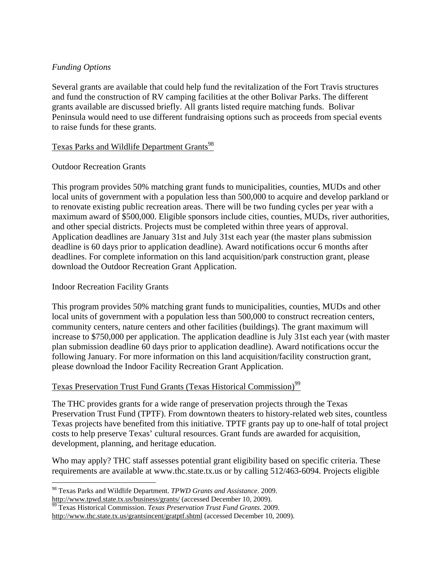#### *Funding Options*

Several grants are available that could help fund the revitalization of the Fort Travis structures and fund the construction of RV camping facilities at the other Bolivar Parks. The different grants available are discussed briefly. All grants listed require matching funds. Bolivar Peninsula would need to use different fundraising options such as proceeds from special events to raise funds for these grants.

#### Texas Parks and Wildlife Department Grants<sup>98</sup>

#### Outdoor Recreation Grants

This program provides 50% matching grant funds to municipalities, counties, MUDs and other local units of government with a population less than 500,000 to acquire and develop parkland or to renovate existing public recreation areas. There will be two funding cycles per year with a maximum award of \$500,000. Eligible sponsors include cities, counties, MUDs, river authorities, and other special districts. Projects must be completed within three years of approval. Application deadlines are January 31st and July 31st each year (the master plans submission deadline is 60 days prior to application deadline). Award notifications occur 6 months after deadlines. For complete information on this land acquisition/park construction grant, please download the Outdoor Recreation Grant Application.

#### Indoor Recreation Facility Grants

This program provides 50% matching grant funds to municipalities, counties, MUDs and other local units of government with a population less than 500,000 to construct recreation centers, community centers, nature centers and other facilities (buildings). The grant maximum will increase to \$750,000 per application. The application deadline is July 31st each year (with master plan submission deadline 60 days prior to application deadline). Award notifications occur the following January. For more information on this land acquisition/facility construction grant, please download the Indoor Facility Recreation Grant Application.

#### Texas Preservation Trust Fund Grants (Texas Historical Commission)<sup>99</sup>

The THC provides grants for a wide range of preservation projects through the Texas Preservation Trust Fund (TPTF). From downtown theaters to history-related web sites, countless Texas projects have benefited from this initiative. TPTF grants pay up to one-half of total project costs to help preserve Texas' cultural resources. Grant funds are awarded for acquisition, development, planning, and heritage education.

Who may apply? THC staff assesses potential grant eligibility based on specific criteria. These requirements are available at www.thc.state.tx.us or by calling 512/463-6094. Projects eligible

http://www.tpwd.state.tx.us/business/grants/ (accessed December 10, 2009). 99 Texas Historical Commission. *Texas Preservation Trust Fund Grants*. 2009.

 $\overline{a}$ 98 Texas Parks and Wildlife Department. *TPWD Grants and Assistance*. 2009.

http://www.thc.state.tx.us/grantsincent/gratptf.shtml (accessed December 10, 2009).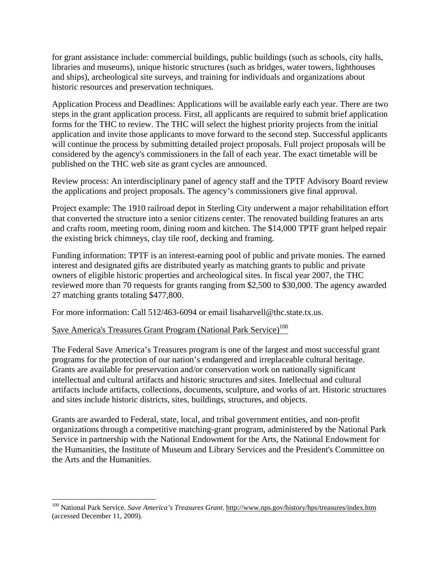for grant assistance include: commercial buildings, public buildings (such as schools, city halls, libraries and museums), unique historic structures (such as bridges, water towers, lighthouses and ships), archeological site surveys, and training for individuals and organizations about historic resources and preservation techniques.

Application Process and Deadlines: Applications will be available early each year. There are two steps in the grant application process. First, all applicants are required to submit brief application forms for the THC to review. The THC will select the highest priority projects from the initial application and invite those applicants to move forward to the second step. Successful applicants will continue the process by submitting detailed project proposals. Full project proposals will be considered by the agency's commissioners in the fall of each year. The exact timetable will be published on the THC web site as grant cycles are announced.

Review process: An interdisciplinary panel of agency staff and the TPTF Advisory Board review the applications and project proposals. The agency's commissioners give final approval.

Project example: The 1910 railroad depot in Sterling City underwent a major rehabilitation effort that converted the structure into a senior citizens center. The renovated building features an arts and crafts room, meeting room, dining room and kitchen. The \$14,000 TPTF grant helped repair the existing brick chimneys, clay tile roof, decking and framing.

Funding information: TPTF is an interest-earning pool of public and private monies. The earned interest and designated gifts are distributed yearly as matching grants to public and private owners of eligible historic properties and archeological sites. In fiscal year 2007, the THC reviewed more than 70 requests for grants ranging from \$2,500 to \$30,000. The agency awarded 27 matching grants totaling \$477,800.

For more information: Call 512/463-6094 or email lisaharvell@thc.state.tx.us.

### Save America's Treasures Grant Program (National Park Service)<sup>100</sup>

 $\overline{a}$ 

The Federal Save America's Treasures program is one of the largest and most successful grant programs for the protection of our nation's endangered and irreplaceable cultural heritage. Grants are available for preservation and/or conservation work on nationally significant intellectual and cultural artifacts and historic structures and sites. Intellectual and cultural artifacts include artifacts, collections, documents, sculpture, and works of art. Historic structures and sites include historic districts, sites, buildings, structures, and objects.

Grants are awarded to Federal, state, local, and tribal government entities, and non-profit organizations through a competitive matching-grant program, administered by the National Park Service in partnership with the National Endowment for the Arts, the National Endowment for the Humanities, the Institute of Museum and Library Services and the President's Committee on the Arts and the Humanities.

<sup>100</sup> National Park Service. *Save America's Treasures Grant*. http://www.nps.gov/history/hps/treasures/index.htm (accessed December 11, 2009).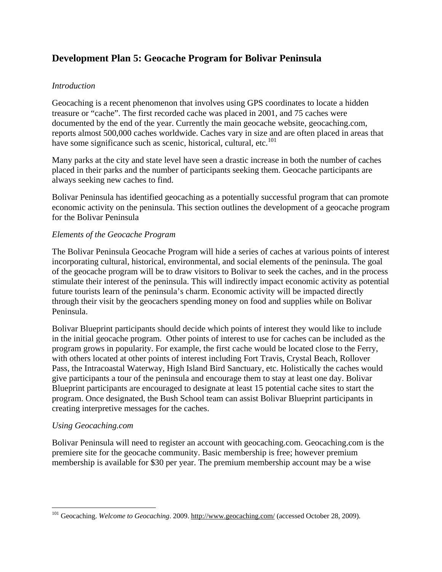## **Development Plan 5: Geocache Program for Bolivar Peninsula**

#### *Introduction*

Geocaching is a recent phenomenon that involves using GPS coordinates to locate a hidden treasure or "cache". The first recorded cache was placed in 2001, and 75 caches were documented by the end of the year. Currently the main geocache website, geocaching.com, reports almost 500,000 caches worldwide. Caches vary in size and are often placed in areas that have some significance such as scenic, historical, cultural, etc. $^{101}$ 

Many parks at the city and state level have seen a drastic increase in both the number of caches placed in their parks and the number of participants seeking them. Geocache participants are always seeking new caches to find.

Bolivar Peninsula has identified geocaching as a potentially successful program that can promote economic activity on the peninsula. This section outlines the development of a geocache program for the Bolivar Peninsula

#### *Elements of the Geocache Program*

The Bolivar Peninsula Geocache Program will hide a series of caches at various points of interest incorporating cultural, historical, environmental, and social elements of the peninsula. The goal of the geocache program will be to draw visitors to Bolivar to seek the caches, and in the process stimulate their interest of the peninsula. This will indirectly impact economic activity as potential future tourists learn of the peninsula's charm. Economic activity will be impacted directly through their visit by the geocachers spending money on food and supplies while on Bolivar Peninsula.

Bolivar Blueprint participants should decide which points of interest they would like to include in the initial geocache program. Other points of interest to use for caches can be included as the program grows in popularity. For example, the first cache would be located close to the Ferry, with others located at other points of interest including Fort Travis, Crystal Beach, Rollover Pass, the Intracoastal Waterway, High Island Bird Sanctuary, etc. Holistically the caches would give participants a tour of the peninsula and encourage them to stay at least one day. Bolivar Blueprint participants are encouraged to designate at least 15 potential cache sites to start the program. Once designated, the Bush School team can assist Bolivar Blueprint participants in creating interpretive messages for the caches.

#### *Using Geocaching.com*

 $\overline{a}$ 

Bolivar Peninsula will need to register an account with geocaching.com. Geocaching.com is the premiere site for the geocache community. Basic membership is free; however premium membership is available for \$30 per year. The premium membership account may be a wise

<sup>&</sup>lt;sup>101</sup> Geocaching. *Welcome to Geocaching*. 2009. http://www.geocaching.com/ (accessed October 28, 2009).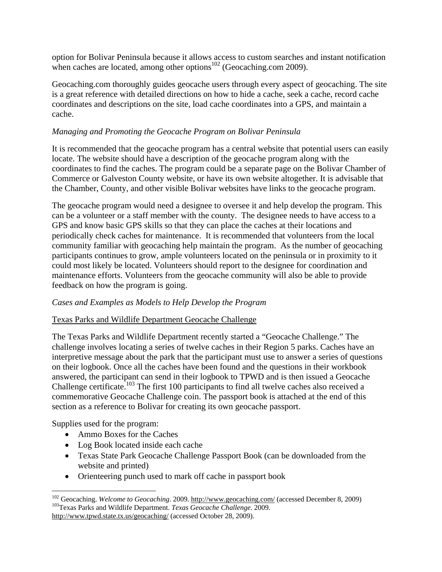option for Bolivar Peninsula because it allows access to custom searches and instant notification when caches are located, among other options<sup>102</sup> (Geocaching.com 2009).

Geocaching.com thoroughly guides geocache users through every aspect of geocaching. The site is a great reference with detailed directions on how to hide a cache, seek a cache, record cache coordinates and descriptions on the site, load cache coordinates into a GPS, and maintain a cache.

#### *Managing and Promoting the Geocache Program on Bolivar Peninsula*

It is recommended that the geocache program has a central website that potential users can easily locate. The website should have a description of the geocache program along with the coordinates to find the caches. The program could be a separate page on the Bolivar Chamber of Commerce or Galveston County website, or have its own website altogether. It is advisable that the Chamber, County, and other visible Bolivar websites have links to the geocache program.

The geocache program would need a designee to oversee it and help develop the program. This can be a volunteer or a staff member with the county. The designee needs to have access to a GPS and know basic GPS skills so that they can place the caches at their locations and periodically check caches for maintenance. It is recommended that volunteers from the local community familiar with geocaching help maintain the program. As the number of geocaching participants continues to grow, ample volunteers located on the peninsula or in proximity to it could most likely be located. Volunteers should report to the designee for coordination and maintenance efforts. Volunteers from the geocache community will also be able to provide feedback on how the program is going.

#### *Cases and Examples as Models to Help Develop the Program*

#### Texas Parks and Wildlife Department Geocache Challenge

The Texas Parks and Wildlife Department recently started a "Geocache Challenge." The challenge involves locating a series of twelve caches in their Region 5 parks. Caches have an interpretive message about the park that the participant must use to answer a series of questions on their logbook. Once all the caches have been found and the questions in their workbook answered, the participant can send in their logbook to TPWD and is then issued a Geocache Challenge certificate.<sup>103</sup> The first 100 participants to find all twelve caches also received a commemorative Geocache Challenge coin. The passport book is attached at the end of this section as a reference to Bolivar for creating its own geocache passport.

Supplies used for the program:

1

- Ammo Boxes for the Caches
- Log Book located inside each cache
- Texas State Park Geocache Challenge Passport Book (can be downloaded from the website and printed)
- Orienteering punch used to mark off cache in passport book

<sup>&</sup>lt;sup>102</sup> Geocaching. *Welcome to Geocaching*. 2009. <u>http://www.geocaching.com/</u> (accessed December 8, 2009) <sup>103</sup>Texas Parks and Wildlife Department. *Texas Geocache Challenge*. 2009. http://www.tpwd.state.tx.us/geocaching/ (accessed October 28, 2009).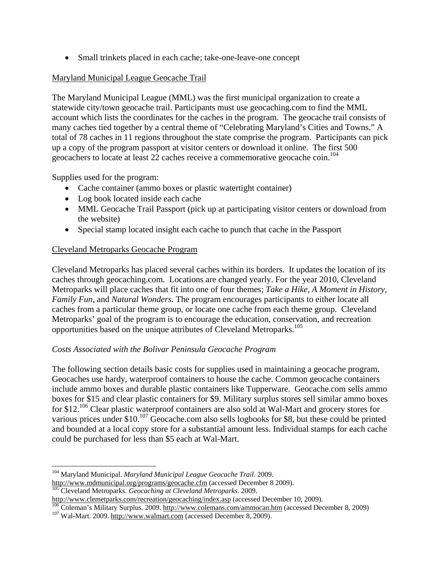Small trinkets placed in each cache; take-one-leave-one concept

#### Maryland Municipal League Geocache Trail

The Maryland Municipal League (MML) was the first municipal organization to create a statewide city/town geocache trail. Participants must use geocaching.com to find the MML account which lists the coordinates for the caches in the program. The geocache trail consists of many caches tied together by a central theme of "Celebrating Maryland's Cities and Towns." A total of 78 caches in 11 regions throughout the state comprise the program. Participants can pick up a copy of the program passport at visitor centers or download it online. The first 500 geocachers to locate at least 22 caches receive a commemorative geocache coin.<sup>104</sup>

Supplies used for the program:

- Cache container (ammo boxes or plastic watertight container)
- Log book located inside each cache
- MML Geocache Trail Passport (pick up at participating visitor centers or download from the website)
- Special stamp located insight each cache to punch that cache in the Passport

#### Cleveland Metroparks Geocache Program

Cleveland Metroparks has placed several caches within its borders. It updates the location of its caches through geocaching.com. Locations are changed yearly. For the year 2010, Cleveland Metroparks will place caches that fit into one of four themes; *Take a Hike*, *A Moment in History*, *Family Fun*, and *Natural Wonders*. The program encourages participants to either locate all caches from a particular theme group, or locate one cache from each theme group. Cleveland Metroparks' goal of the program is to encourage the education, conservation, and recreation opportunities based on the unique attributes of Cleveland Metroparks.<sup>105</sup>

#### *Costs Associated with the Bolivar Peninsula Geocache Program*

The following section details basic costs for supplies used in maintaining a geocache program. Geocaches use hardy, waterproof containers to house the cache. Common geocache containers include ammo boxes and durable plastic containers like Tupperware. Geocache.com sells ammo boxes for \$15 and clear plastic containers for \$9. Military surplus stores sell similar ammo boxes for \$12<sup>,106</sup> Clear plastic waterproof containers are also sold at Wal-Mart and grocery stores for various prices under \$10.<sup>107</sup> Geocache.com also sells logbooks for \$8, but these could be printed and bounded at a local copy store for a substantial amount less. Individual stamps for each cache could be purchased for less than \$5 each at Wal-Mart.

 $\overline{a}$ 

<sup>104</sup> Maryland Municipal. *Maryland Municipal League Geocache Trail*. 2009. http://www.mdmunicipal.org/programs/geocache.cfm (accessed December 8 2009). 105 Cleveland Metroparks. *Geocaching at Cleveland Metroparks*. 2009.

http://www.clemetparks.com/recreation/geocaching/index.asp (accessed December 10, 2009).<br>
<sup>106</sup> Coleman's Military Surplus. 2009. http://www.colemans.com/ammocan.htm (accessed December 8, 2009)<br>
<sup>107</sup> Wal-Mart. 2009. http: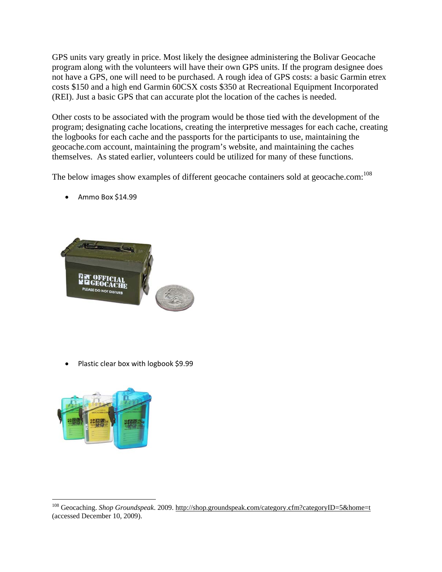GPS units vary greatly in price. Most likely the designee administering the Bolivar Geocache program along with the volunteers will have their own GPS units. If the program designee does not have a GPS, one will need to be purchased. A rough idea of GPS costs: a basic Garmin etrex costs \$150 and a high end Garmin 60CSX costs \$350 at Recreational Equipment Incorporated (REI). Just a basic GPS that can accurate plot the location of the caches is needed.

Other costs to be associated with the program would be those tied with the development of the program; designating cache locations, creating the interpretive messages for each cache, creating the logbooks for each cache and the passports for the participants to use, maintaining the geocache.com account, maintaining the program's website, and maintaining the caches themselves. As stated earlier, volunteers could be utilized for many of these functions.

The below images show examples of different geocache containers sold at geocache.com:<sup>108</sup>



A mmo Box \$14 4.99

• Plastic clear box with logbook \$9.99

 $\overline{a}$ 



 $\overline{a}$ 

 $\overline{a}$ 

<sup>&</sup>lt;sup>108</sup> Geocac (accessed D December 10, 2009). hing. *Shop Gro* oundspeak. 2009. http://shop.groundspeak.com/category.cfm?categoryID=5&home=t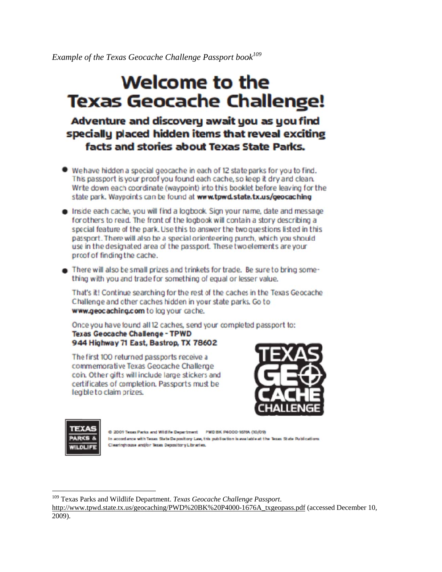**Example of the Texas Geocache Challenge Passport book**<sup>109</sup>

# Welcome to the **Texas Geocache Challenge!**

## Adventure and discovery await you as you find specially placed hidden items that reveal exciting facts and stories about Texas State Parks.

- We have hidden a special geocache in each of 12 state parks for you to find. This passport is your proof you found each cache, so keep it dry and clean. Write down each coordinate (waypoint) into this booklet before leaving for the state park. Waypoints can be found at www.tpwd.state.tx.us/geocaching
- . Inside each cache, you will find a logbook. Sign your name, date and message for others to read. The front of the logbook will contain a story describing a special feature of the park. Use this to answer the two questions listed in this passport. There will also be a special orienteering punch, which you should use in the designated area of the passport. These two elements are your proof of finding the cache.
- There will also be small prizes and trinkets for trade. Be sure to bring something with you and trade for something of equal or lesser value.

That's it! Continue searching for the rest of the caches in the Texas Geocache Challenge and other caches hidden in your state parks. Go to www.geocaching.com to log your cache.

Once you have found all 12 caches, send your completed passport to: **Texas Geocache Challenge - TPWD** 944 Highway 71 East, Bastrop, TX 78602

The first 100 returned passports receive a commemorative Texas Geocache Challenge coin. Other gifts will include large stickers and certificates of completion. Passports must be legible to claim prizes.





 $\overline{a}$ 

 $\overline{a}$ 

 $\overline{a}$ 

C 2009 Texas Parks and Wildlife Department PWD BK P4000-1676A (10/09) In accordance with Texas State Deposit ory Law, this publication is available at the Texas State Publications Clearinghouse and/or Texas Depository Libraries.

<sup>109</sup> Texas Parks and Wildlife Department. *Texas Geocache Challenge Passport*.

http://www.tpwd.state.tx.us/geocaching/PWD%20BK%20P4000-1676A\_txgeopass.pdf (accessed December 10, 2009).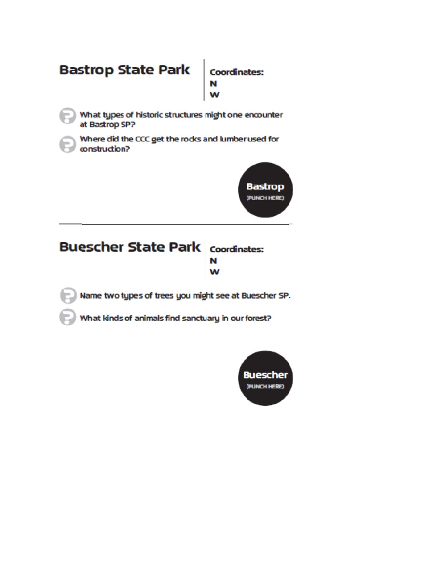## **Bastrop State Park Coordinates:** W What types of historic structures might one encounter at Bastrop SP?

Where did the CCC get the rocks and lumber used for construction?



## **Buescher State Park** Coordinates: N W

Name two types of trees you might see at Buescher SP.

What kinds of animals find sanctuary in our forest?

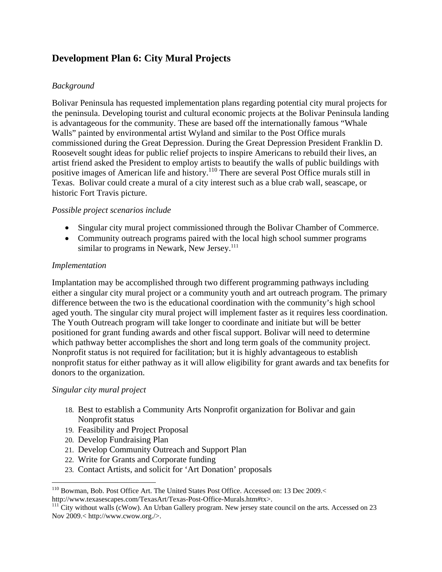## **Development Plan 6: City Mural Projects**

#### *Background*

Bolivar Peninsula has requested implementation plans regarding potential city mural projects for the peninsula. Developing tourist and cultural economic projects at the Bolivar Peninsula landing is advantageous for the community. These are based off the internationally famous "Whale Walls" painted by environmental artist Wyland and similar to the Post Office murals commissioned during the Great Depression. During the Great Depression President Franklin D. Roosevelt sought ideas for public relief projects to inspire Americans to rebuild their lives, an artist friend asked the President to employ artists to beautify the walls of public buildings with positive images of American life and history.<sup>110</sup> There are several Post Office murals still in Texas. Bolivar could create a mural of a city interest such as a blue crab wall, seascape, or historic Fort Travis picture.

#### *Possible project scenarios include*

- Singular city mural project commissioned through the Bolivar Chamber of Commerce.
- Community outreach programs paired with the local high school summer programs similar to programs in Newark, New Jersey. $111$

#### *Implementation*

Implantation may be accomplished through two different programming pathways including either a singular city mural project or a community youth and art outreach program. The primary difference between the two is the educational coordination with the community's high school aged youth. The singular city mural project will implement faster as it requires less coordination. The Youth Outreach program will take longer to coordinate and initiate but will be better positioned for grant funding awards and other fiscal support. Bolivar will need to determine which pathway better accomplishes the short and long term goals of the community project. Nonprofit status is not required for facilitation; but it is highly advantageous to establish nonprofit status for either pathway as it will allow eligibility for grant awards and tax benefits for donors to the organization.

#### *Singular city mural project*

 $\overline{a}$ 

- 18. Best to establish a Community Arts Nonprofit organization for Bolivar and gain Nonprofit status
- 19. Feasibility and Project Proposal
- 20. Develop Fundraising Plan
- 21. Develop Community Outreach and Support Plan
- 22. Write for Grants and Corporate funding
- 23. Contact Artists, and solicit for 'Art Donation' proposals

<sup>&</sup>lt;sup>110</sup> Bowman, Bob. Post Office Art. The United States Post Office. Accessed on: 13 Dec 2009.<<br>http://www.texasescapes.com/TexasArt/Texas-Post-Office-Murals.htm#tx>.

 $\frac{111}{111}$ City without walls (cWow). An Urban Gallery program. New jersey state council on the arts. Accessed on 23 Nov 2009.< http://www.cwow.org./>.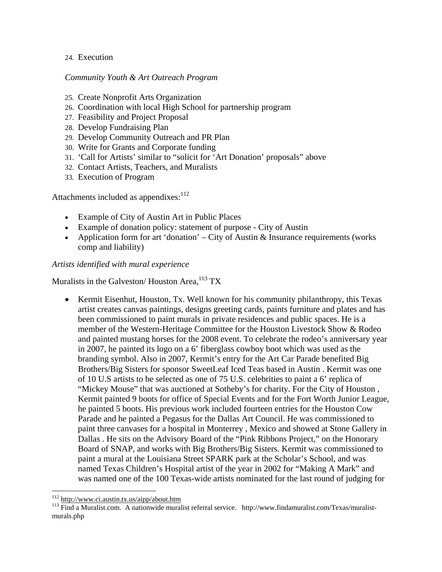#### 24. Execution

#### *Community Youth & Art Outreach Program*

- 25. Create Nonprofit Arts Organization
- 26. Coordination with local High School for partnership program
- 27. Feasibility and Project Proposal
- 28. Develop Fundraising Plan
- 29. Develop Community Outreach and PR Plan
- 30. Write for Grants and Corporate funding
- 31. 'Call for Artists' similar to "solicit for 'Art Donation' proposals" above
- 32. Contact Artists, Teachers, and Muralists
- 33. Execution of Program

Attachments included as appendixes:<sup>112</sup>

- Example of City of Austin Art in Public Places
- Example of donation policy: statement of purpose City of Austin
- Application form for art 'donation' City of Austin  $\&$  Insurance requirements (works comp and liability)

*Artists identified with mural experience* 

Muralists in the Galveston/Houston Area, $^{113}$  TX

• Kermit Eisenhut, Houston, Tx. Well known for his community philanthropy, this Texas artist creates canvas paintings, designs greeting cards, paints furniture and plates and has been commissioned to paint murals in private residences and public spaces. He is a member of the Western-Heritage Committee for the Houston Livestock Show & Rodeo and painted mustang horses for the 2008 event. To celebrate the rodeo's anniversary year in 2007, he painted its logo on a 6' fiberglass cowboy boot which was used as the branding symbol. Also in 2007, Kermit's entry for the Art Car Parade benefited Big Brothers/Big Sisters for sponsor SweetLeaf Iced Teas based in Austin . Kermit was one of 10 U.S artists to be selected as one of 75 U.S. celebrities to paint a 6' replica of "Mickey Mouse" that was auctioned at Sotheby's for charity. For the City of Houston , Kermit painted 9 boots for office of Special Events and for the Fort Worth Junior League, he painted 5 boots. His previous work included fourteen entries for the Houston Cow Parade and he painted a Pegasus for the Dallas Art Council. He was commissioned to paint three canvases for a hospital in Monterrey , Mexico and showed at Stone Gallery in Dallas . He sits on the Advisory Board of the "Pink Ribbons Project," on the Honorary Board of SNAP, and works with Big Brothers/Big Sisters. Kermit was commissioned to paint a mural at the Louisiana Street SPARK park at the Scholar's School, and was named Texas Children's Hospital artist of the year in 2002 for "Making A Mark" and was named one of the 100 Texas-wide artists nominated for the last round of judging for

 $\overline{a}$ 

<sup>&</sup>lt;sup>112</sup> http://www.ci.austin.tx.us/aipp/about.htm<br><sup>113</sup> Find a Muralist.com. A nationwide muralist referral service. http://www.findamuralist.com/Texas/muralistmurals.php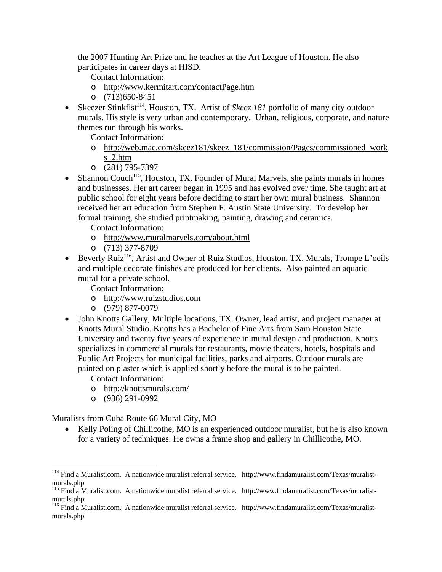the 2007 Hunting Art Prize and he teaches at the Art League of Houston. He also participates in career days at HISD.

Contact Information:

- o http://www.kermitart.com/contactPage.htm
- o (713)650-8451
- Skeezer Stinkfist<sup>114</sup>, Houston, TX. Artist of *Skeez 181* portfolio of many city outdoor murals. His style is very urban and contemporary. Urban, religious, corporate, and nature themes run through his works.

Contact Information:

- o http://web.mac.com/skeez181/skeez\_181/commission/Pages/commissioned\_work s\_2.htm
- o (281) 795-7397
- Shannon Couch<sup>115</sup>, Houston, TX. Founder of Mural Marvels, she paints murals in homes and businesses. Her art career began in 1995 and has evolved over time. She taught art at public school for eight years before deciding to start her own mural business. Shannon received her art education from Stephen F. Austin State University. To develop her formal training, she studied printmaking, painting, drawing and ceramics.

Contact Information:

- o http://www.muralmarvels.com/about.html
- o (713) 377-8709
- Beverly Ruiz<sup>116</sup>, Artist and Owner of Ruiz Studios, Houston, TX. Murals, Trompe L'oeils and multiple decorate finishes are produced for her clients. Also painted an aquatic mural for a private school.

Contact Information:

- o http://www.ruizstudios.com
- o (979) 877-0079
- John Knotts Gallery, Multiple locations, TX. Owner, lead artist, and project manager at Knotts Mural Studio. Knotts has a Bachelor of Fine Arts from Sam Houston State University and twenty five years of experience in mural design and production. Knotts specializes in commercial murals for restaurants, movie theaters, hotels, hospitals and Public Art Projects for municipal facilities, parks and airports. Outdoor murals are painted on plaster which is applied shortly before the mural is to be painted.
	- Contact Information:
	- o http://knottsmurals.com/
	- o (936) 291-0992

 $\overline{a}$ 

Muralists from Cuba Route 66 Mural City, MO

• Kelly Poling of Chillicothe, MO is an experienced outdoor muralist, but he is also known for a variety of techniques. He owns a frame shop and gallery in Chillicothe, MO.

<sup>&</sup>lt;sup>114</sup> Find a Muralist.com. A nationwide muralist referral service. http://www.findamuralist.com/Texas/muralistmurals.php

<sup>115</sup> Find a Muralist.com. A nationwide muralist referral service. http://www.findamuralist.com/Texas/muralistmurals.php

<sup>116</sup> Find a Muralist.com. A nationwide muralist referral service. http://www.findamuralist.com/Texas/muralistmurals.php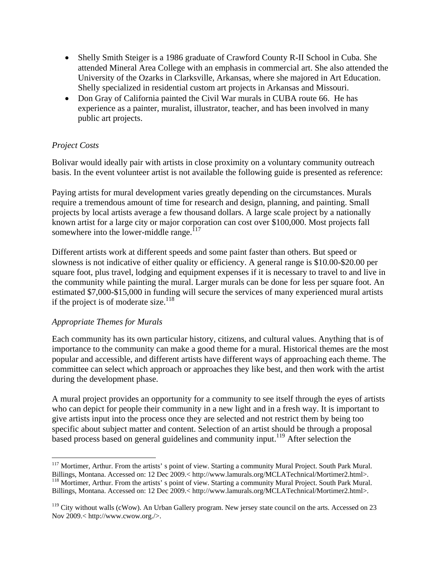- Shelly Smith Steiger is a 1986 graduate of Crawford County R-II School in Cuba. She attended Mineral Area College with an emphasis in commercial art. She also attended the University of the Ozarks in Clarksville, Arkansas, where she majored in Art Education. Shelly specialized in residential custom art projects in Arkansas and Missouri.
- Don Gray of California painted the Civil War murals in CUBA route 66. He has experience as a painter, muralist, illustrator, teacher, and has been involved in many public art projects.

#### *Project Costs*

Bolivar would ideally pair with artists in close proximity on a voluntary community outreach basis. In the event volunteer artist is not available the following guide is presented as reference:

Paying artists for mural development varies greatly depending on the circumstances. Murals require a tremendous amount of time for research and design, planning, and painting. Small projects by local artists average a few thousand dollars. A large scale project by a nationally known artist for a large city or major corporation can cost over \$100,000. Most projects fall somewhere into the lower-middle range. $117$ 

Different artists work at different speeds and some paint faster than others. But speed or slowness is not indicative of either quality or efficiency. A general range is \$10.00-\$20.00 per square foot, plus travel, lodging and equipment expenses if it is necessary to travel to and live in the community while painting the mural. Larger murals can be done for less per square foot. An estimated \$7,000-\$15,000 in funding will secure the services of many experienced mural artists if the project is of moderate size.<sup>118</sup>

#### *Appropriate Themes for Murals*

Each community has its own particular history, citizens, and cultural values. Anything that is of importance to the community can make a good theme for a mural. Historical themes are the most popular and accessible, and different artists have different ways of approaching each theme. The committee can select which approach or approaches they like best, and then work with the artist during the development phase.

A mural project provides an opportunity for a community to see itself through the eyes of artists who can depict for people their community in a new light and in a fresh way. It is important to give artists input into the process once they are selected and not restrict them by being too specific about subject matter and content. Selection of an artist should be through a proposal based process based on general guidelines and community input.<sup>119</sup> After selection the

 $\overline{a}$ <sup>117</sup> Mortimer, Arthur. From the artists' s point of view. Starting a community Mural Project. South Park Mural. Billings, Montana. Accessed on: 12 Dec 2009.< http://www.lamurals.org/MCLATechnical/Mortimer2.html>. 118 Mortimer, Arthur. From the artists' s point of view. Starting a community Mural Project. South Park Mural. Billings, Montana. Accessed on: 12 Dec 2009.< http://www.lamurals.org/MCLATechnical/Mortimer2.html>.

<sup>&</sup>lt;sup>119</sup> City without walls (cWow). An Urban Gallery program. New jersey state council on the arts. Accessed on 23 Nov 2009.< http://www.cwow.org./>.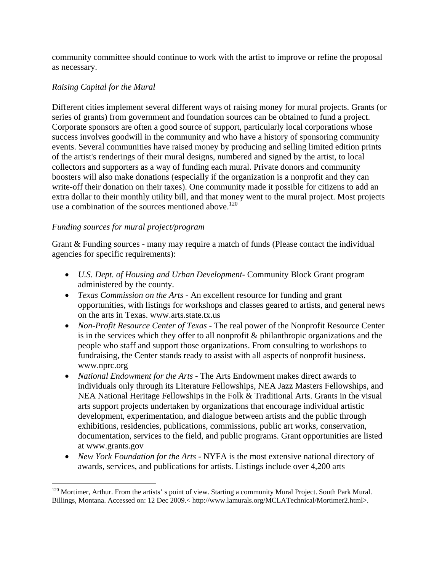community committee should continue to work with the artist to improve or refine the proposal as necessary.

#### *Raising Capital for the Mural*

Different cities implement several different ways of raising money for mural projects. Grants (or series of grants) from government and foundation sources can be obtained to fund a project. Corporate sponsors are often a good source of support, particularly local corporations whose success involves goodwill in the community and who have a history of sponsoring community events. Several communities have raised money by producing and selling limited edition prints of the artist's renderings of their mural designs, numbered and signed by the artist, to local collectors and supporters as a way of funding each mural. Private donors and community boosters will also make donations (especially if the organization is a nonprofit and they can write-off their donation on their taxes). One community made it possible for citizens to add an extra dollar to their monthly utility bill, and that money went to the mural project. Most projects use a combination of the sources mentioned above.<sup>120</sup>

#### *Funding sources for mural project/program*

 $\overline{a}$ 

Grant & Funding sources - many may require a match of funds (Please contact the individual agencies for specific requirements):

- *U.S. Dept. of Housing and Urban Development-* Community Block Grant program administered by the county.
- *Texas Commission on the Arts*  An excellent resource for funding and grant opportunities, with listings for workshops and classes geared to artists, and general news on the arts in Texas. www.arts.state.tx.us
- *Non-Profit Resource Center of Texas* The real power of the Nonprofit Resource Center is in the services which they offer to all nonprofit & philanthropic organizations and the people who staff and support those organizations. From consulting to workshops to fundraising, the Center stands ready to assist with all aspects of nonprofit business. www.nprc.org
- *National Endowment for the Arts*  The Arts Endowment makes direct awards to individuals only through its Literature Fellowships, NEA Jazz Masters Fellowships, and NEA National Heritage Fellowships in the Folk & Traditional Arts. Grants in the visual arts support projects undertaken by organizations that encourage individual artistic development, experimentation, and dialogue between artists and the public through exhibitions, residencies, publications, commissions, public art works, conservation, documentation, services to the field, and public programs. Grant opportunities are listed at www.grants.gov
- *New York Foundation for the Arts* NYFA is the most extensive national directory of awards, services, and publications for artists. Listings include over 4,200 arts

<sup>&</sup>lt;sup>120</sup> Mortimer, Arthur. From the artists' s point of view. Starting a community Mural Project. South Park Mural. Billings, Montana. Accessed on: 12 Dec 2009.< http://www.lamurals.org/MCLATechnical/Mortimer2.html>.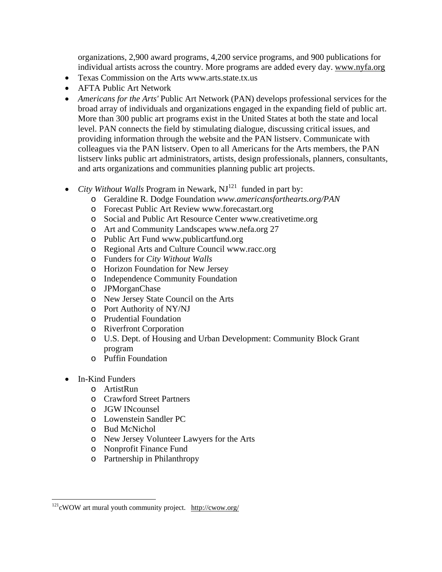organizations, 2,900 award programs, 4,200 service programs, and 900 publications for individual artists across the country. More programs are added every day. www.nyfa.org

- Texas Commission on the Arts www.arts.state.tx.us
- AFTA Public Art Network
- *Americans for the Arts'* Public Art Network (PAN) develops professional services for the broad array of individuals and organizations engaged in the expanding field of public art. More than 300 public art programs exist in the United States at both the state and local level. PAN connects the field by stimulating dialogue, discussing critical issues, and providing information through the website and the PAN listserv. Communicate with colleagues via the PAN listserv. Open to all Americans for the Arts members, the PAN listserv links public art administrators, artists, design professionals, planners, consultants, and arts organizations and communities planning public art projects.
- *City Without Walls* Program in Newark, NJ<sup>121</sup> funded in part by:
	- o Geraldine R. Dodge Foundation *www.americansforthearts.org/PAN*
	- o Forecast Public Art Review www.forecastart.org
	- o Social and Public Art Resource Center www.creativetime.org
	- o Art and Community Landscapes www.nefa.org 27
	- o Public Art Fund www.publicartfund.org
	- o Regional Arts and Culture Council www.racc.org
	- o Funders for *City Without Walls*
	- o Horizon Foundation for New Jersey
	- o Independence Community Foundation
	- o JPMorganChase
	- o New Jersey State Council on the Arts
	- o Port Authority of NY/NJ
	- o Prudential Foundation
	- o Riverfront Corporation
	- o U.S. Dept. of Housing and Urban Development: Community Block Grant program
	- o Puffin Foundation
- In-Kind Funders
	- o ArtistRun
	- o Crawford Street Partners
	- o JGW INcounsel
	- o Lowenstein Sandler PC
	- o Bud McNichol
	- o New Jersey Volunteer Lawyers for the Arts
	- o Nonprofit Finance Fund
	- o Partnership in Philanthropy

 $\overline{a}$  $121$ <sup>cWOW</sup> art mural youth community project. http://cwow.org/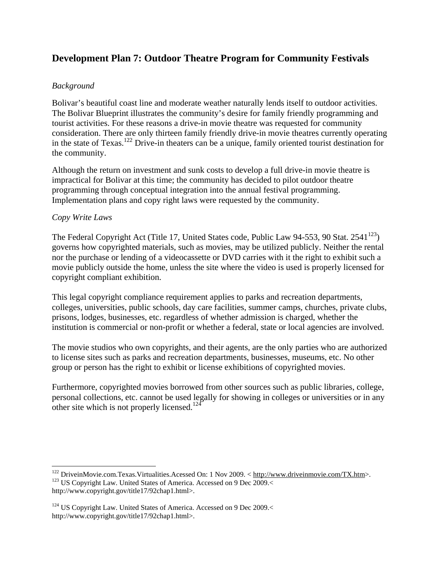## **Development Plan 7: Outdoor Theatre Program for Community Festivals**

#### *Background*

Bolivar's beautiful coast line and moderate weather naturally lends itself to outdoor activities. The Bolivar Blueprint illustrates the community's desire for family friendly programming and tourist activities. For these reasons a drive-in movie theatre was requested for community consideration. There are only thirteen family friendly drive-in movie theatres currently operating in the state of Texas.<sup>122</sup> Drive-in theaters can be a unique, family oriented tourist destination for the community.

Although the return on investment and sunk costs to develop a full drive-in movie theatre is impractical for Bolivar at this time; the community has decided to pilot outdoor theatre programming through conceptual integration into the annual festival programming. Implementation plans and copy right laws were requested by the community.

#### *Copy Write Laws*

 $\overline{a}$ 

The Federal Copyright Act (Title 17, United States code, Public Law 94-553, 90 Stat. 2541<sup>123</sup>) governs how copyrighted materials, such as movies, may be utilized publicly. Neither the rental nor the purchase or lending of a videocassette or DVD carries with it the right to exhibit such a movie publicly outside the home, unless the site where the video is used is properly licensed for copyright compliant exhibition.

This legal copyright compliance requirement applies to parks and recreation departments, colleges, universities, public schools, day care facilities, summer camps, churches, private clubs, prisons, lodges, businesses, etc. regardless of whether admission is charged, whether the institution is commercial or non-profit or whether a federal, state or local agencies are involved.

The movie studios who own copyrights, and their agents, are the only parties who are authorized to license sites such as parks and recreation departments, businesses, museums, etc. No other group or person has the right to exhibit or license exhibitions of copyrighted movies.

Furthermore, copyrighted movies borrowed from other sources such as public libraries, college, personal collections, etc. cannot be used legally for showing in colleges or universities or in any other site which is not properly licensed.<sup>124</sup>

<sup>&</sup>lt;sup>122</sup> DriveinMovie.com.Texas.Virtualities.Acessed On: 1 Nov 2009. < http://www.driveinmovie.com/TX.htm>. 1<sup>23</sup> US Copyright Law. United States of America. Accessed on 9 Dec 2009.< http://www.copyright.gov/title17/92chap1.html>.

<sup>&</sup>lt;sup>124</sup> US Copyright Law. United States of America. Accessed on 9 Dec 2009.< http://www.copyright.gov/title17/92chap1.html>.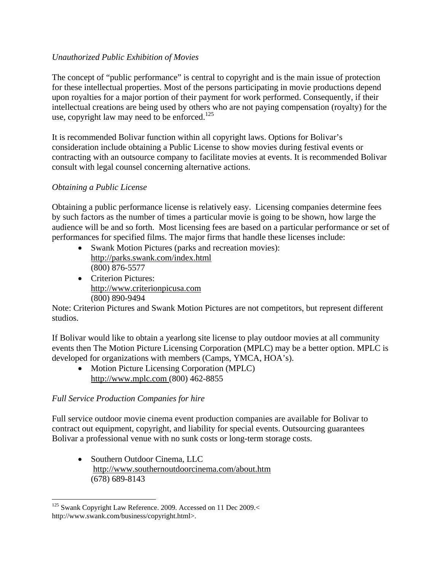#### *Unauthorized Public Exhibition of Movies*

The concept of "public performance" is central to copyright and is the main issue of protection for these intellectual properties. Most of the persons participating in movie productions depend upon royalties for a major portion of their payment for work performed. Consequently, if their intellectual creations are being used by others who are not paying compensation (royalty) for the use, copyright law may need to be enforced. $125$ 

It is recommended Bolivar function within all copyright laws. Options for Bolivar's consideration include obtaining a Public License to show movies during festival events or contracting with an outsource company to facilitate movies at events. It is recommended Bolivar consult with legal counsel concerning alternative actions.

#### *Obtaining a Public License*

Obtaining a public performance license is relatively easy. Licensing companies determine fees by such factors as the number of times a particular movie is going to be shown, how large the audience will be and so forth. Most licensing fees are based on a particular performance or set of performances for specified films. The major firms that handle these licenses include:

- Swank Motion Pictures (parks and recreation movies): http://parks.swank.com/index.html (800) 876-5577
- Criterion Pictures: http://www.criterionpicusa.com (800) 890-9494

Note: Criterion Pictures and Swank Motion Pictures are not competitors, but represent different studios.

If Bolivar would like to obtain a yearlong site license to play outdoor movies at all community events then The Motion Picture Licensing Corporation (MPLC) may be a better option. MPLC is developed for organizations with members (Camps, YMCA, HOA's).

• Motion Picture Licensing Corporation (MPLC) http://www.mplc.com (800) 462-8855

#### *Full Service Production Companies for hire*

Full service outdoor movie cinema event production companies are available for Bolivar to contract out equipment, copyright, and liability for special events. Outsourcing guarantees Bolivar a professional venue with no sunk costs or long-term storage costs.

• Southern Outdoor Cinema, LLC http://www.southernoutdoorcinema.com/about.htm (678) 689-8143

 $\overline{a}$ <sup>125</sup> Swank Copyright Law Reference. 2009. Accessed on 11 Dec 2009.< http://www.swank.com/business/copyright.html>.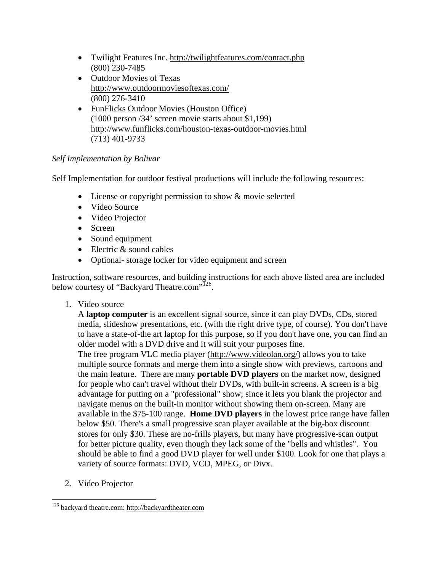- Twilight Features Inc. http://twilightfeatures.com/contact.php (800) 230-7485
- Outdoor Movies of Texas http://www.outdoormoviesoftexas.com/ (800) 276-3410
- FunFlicks Outdoor Movies (Houston Office) (1000 person /34' screen movie starts about \$1,199) http://www.funflicks.com/houston-texas-outdoor-movies.html (713) 401-9733

#### *Self Implementation by Bolivar*

Self Implementation for outdoor festival productions will include the following resources:

- License or copyright permission to show  $&$  movie selected
- Video Source
- Video Projector
- Screen
- Sound equipment
- Electric & sound cables
- Optional-storage locker for video equipment and screen

Instruction, software resources, and building instructions for each above listed area are included below courtesy of "Backyard Theatre.com"<sup>126</sup>.

1. Video source

A **laptop computer** is an excellent signal source, since it can play DVDs, CDs, stored media, slideshow presentations, etc. (with the right drive type, of course). You don't have to have a state-of-the art laptop for this purpose, so if you don't have one, you can find an older model with a DVD drive and it will suit your purposes fine. The free program VLC media player (http://www.videolan.org/) allows you to take multiple source formats and merge them into a single show with previews, cartoons and the main feature. There are many **portable DVD players** on the market now, designed for people who can't travel without their DVDs, with built-in screens. A screen is a big advantage for putting on a "professional" show; since it lets you blank the projector and navigate menus on the built-in monitor without showing them on-screen. Many are available in the \$75-100 range. **Home DVD players** in the lowest price range have fallen below \$50. There's a small progressive scan player available at the big-box discount stores for only \$30. These are no-frills players, but many have progressive-scan output for better picture quality, even though they lack some of the "bells and whistles". You should be able to find a good DVD player for well under \$100. Look for one that plays a variety of source formats: DVD, VCD, MPEG, or Divx.

2. Video Projector

 $\overline{a}$ <sup>126</sup> backyard theatre.com: http://backyardtheater.com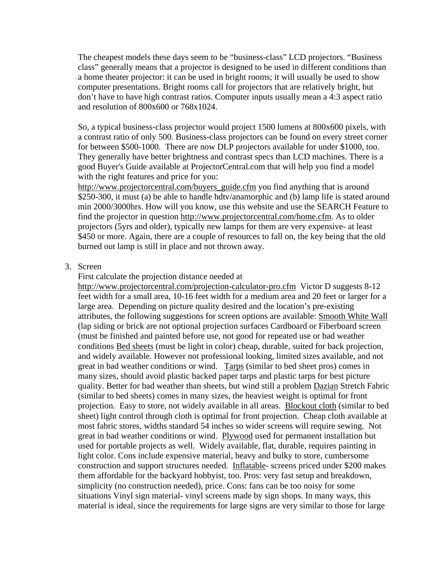The cheapest models these days seem to be "business-class" LCD projectors. "Business class" generally means that a projector is designed to be used in different conditions than a home theater projector: it can be used in bright rooms; it will usually be used to show computer presentations. Bright rooms call for projectors that are relatively bright, but don't have to have high contrast ratios. Computer inputs usually mean a 4:3 aspect ratio and resolution of 800x600 or 768x1024.

So, a typical business-class projector would project 1500 lumens at 800x600 pixels, with a contrast ratio of only 500. Business-class projectors can be found on every street corner for between \$500-1000. There are now DLP projectors available for under \$1000, too. They generally have better brightness and contrast specs than LCD machines. There is a good Buyer's Guide available at ProjectorCentral.com that will help you find a model with the right features and price for you:

http://www.projectorcentral.com/buyers\_guide.cfm you find anything that is around \$250-300, it must (a) be able to handle hdtv/anamorphic and (b) lamp life is stated around min 2000/3000hrs. How will you know, use this website and use the SEARCH Feature to find the projector in question http://www.projectorcentral.com/home.cfm. As to older projectors (5yrs and older), typically new lamps for them are very expensive- at least \$450 or more. Again, there are a couple of resources to fall on, the key being that the old burned out lamp is still in place and not thrown away.

#### 3. Screen

First calculate the projection distance needed at

http://www.projectorcentral.com/projection-calculator-pro.cfm Victor D suggests 8-12 feet width for a small area, 10-16 feet width for a medium area and 20 feet or larger for a large area. Depending on picture quality desired and the location's pre-existing attributes, the following suggestions for screen options are available: Smooth White Wall (lap siding or brick are not optional projection surfaces Cardboard or Fiberboard screen (must be finished and painted before use, not good for repeated use or bad weather conditions Bed sheets (must be light in color) cheap, durable, suited for back projection, and widely available. However not professional looking, limited sizes available, and not great in bad weather conditions or wind. Tarps (similar to bed sheet pros) comes in many sizes, should avoid plastic backed paper tarps and plastic tarps for best picture quality. Better for bad weather than sheets, but wind still a problem Dazian Stretch Fabric (similar to bed sheets) comes in many sizes, the heaviest weight is optimal for front projection. Easy to store, not widely available in all areas. Blockout cloth (similar to bed sheet) light control through cloth is optimal for front projection. Cheap cloth available at most fabric stores, widths standard 54 inches so wider screens will require sewing. Not great in bad weather conditions or wind. Plywood used for permanent installation but used for portable projects as well. Widely available, flat, durable, requires painting in light color. Cons include expensive material, heavy and bulky to store, cumbersome construction and support structures needed. Inflatable- screens priced under \$200 makes them affordable for the backyard hobbyist, too. Pros: very fast setup and breakdown, simplicity (no construction needed), price. Cons: fans can be too noisy for some situations Vinyl sign material- vinyl screens made by sign shops. In many ways, this material is ideal, since the requirements for large signs are very similar to those for large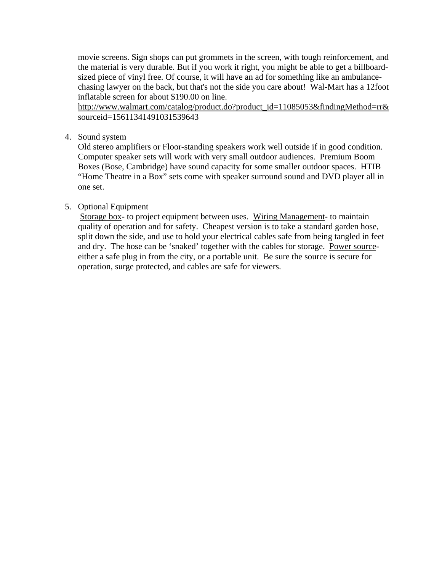movie screens. Sign shops can put grommets in the screen, with tough reinforcement, and the material is very durable. But if you work it right, you might be able to get a billboardsized piece of vinyl free. Of course, it will have an ad for something like an ambulancechasing lawyer on the back, but that's not the side you care about! Wal-Mart has a 12foot inflatable screen for about \$190.00 on line.

http://www.walmart.com/catalog/product.do?product\_id=11085053&findingMethod=rr& sourceid=15611341491031539643

4. Sound system

Old stereo amplifiers or Floor-standing speakers work well outside if in good condition. Computer speaker sets will work with very small outdoor audiences. Premium Boom Boxes (Bose, Cambridge) have sound capacity for some smaller outdoor spaces. HTIB "Home Theatre in a Box" sets come with speaker surround sound and DVD player all in one set.

#### 5. Optional Equipment

 Storage box- to project equipment between uses. Wiring Management- to maintain quality of operation and for safety. Cheapest version is to take a standard garden hose, split down the side, and use to hold your electrical cables safe from being tangled in feet and dry. The hose can be 'snaked' together with the cables for storage. Power sourceeither a safe plug in from the city, or a portable unit. Be sure the source is secure for operation, surge protected, and cables are safe for viewers.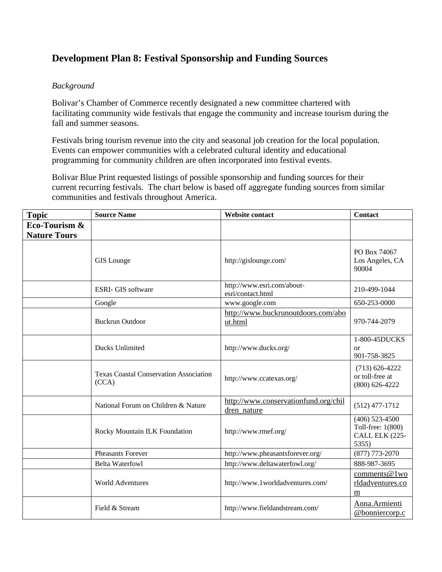## **Development Plan 8: Festival Sponsorship and Funding Sources**

#### *Background*

Bolivar's Chamber of Commerce recently designated a new committee chartered with facilitating community wide festivals that engage the community and increase tourism during the fall and summer seasons.

Festivals bring tourism revenue into the city and seasonal job creation for the local population. Events can empower communities with a celebrated cultural identity and educational programming for community children are often incorporated into festival events.

Bolivar Blue Print requested listings of possible sponsorship and funding sources for their current recurring festivals. The chart below is based off aggregate funding sources from similar communities and festivals throughout America.

| <b>Topic</b>                         | <b>Source Name</b>                                     | <b>Website contact</b>                              | <b>Contact</b>                                                   |
|--------------------------------------|--------------------------------------------------------|-----------------------------------------------------|------------------------------------------------------------------|
| Eco-Tourism &<br><b>Nature Tours</b> |                                                        |                                                     |                                                                  |
|                                      | <b>GIS</b> Lounge                                      | http://gislounge.com/                               | PO Box 74067<br>Los Angeles, CA<br>90004                         |
|                                      | <b>ESRI- GIS software</b>                              | http://www.esri.com/about-<br>esri/contact.html     | 210-499-1044                                                     |
|                                      | Google                                                 | www.google.com                                      | 650-253-0000                                                     |
|                                      | <b>Buckrun Outdoor</b>                                 | http://www.buckrunoutdoors.com/abo<br>ut.html       | 970-744-2079                                                     |
|                                      | Ducks Unlimited                                        | http://www.ducks.org/                               | 1-800-45DUCKS<br>or<br>901-758-3825                              |
|                                      | <b>Texas Coastal Conservation Association</b><br>(CCA) | http://www.ccatexas.org/                            | $(713) 626 - 4222$<br>or toll-free at<br>$(800)$ 626-4222        |
|                                      | National Forum on Children & Nature                    | http://www.conservationfund.org/chil<br>dren nature | $(512)$ 477-1712                                                 |
|                                      | Rocky Mountain ILK Foundation                          | http://www.rmef.org/                                | $(406)$ 523-4500<br>Toll-free: 1(800)<br>CALL ELK (225-<br>5355) |
|                                      | <b>Pheasants Forever</b>                               | http://www.pheasantsforever.org/                    | $(877)$ 773-2070                                                 |
|                                      | <b>Belta Waterfowl</b>                                 | http://www.deltawaterfowl.org/                      | 888-987-3695                                                     |
|                                      | <b>World Adventures</b>                                | http://www.1worldadventures.com/                    | comments@1wo<br>rldadventures.co<br>m                            |
|                                      | Field & Stream                                         | http://www.fieldandstream.com/                      | Anna.Armienti<br>@bonniercorp.c                                  |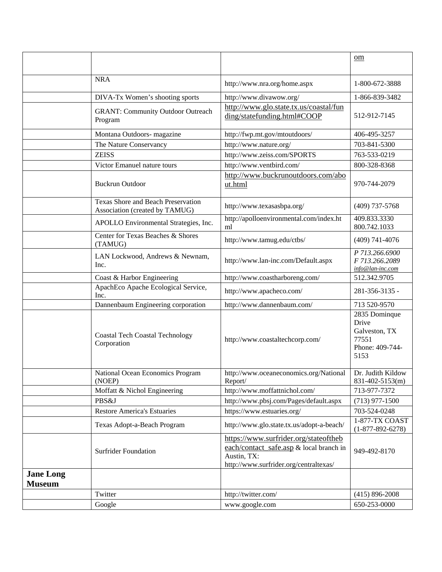|                                   |                                                                      |                                                                                                                                           | om                                                                          |
|-----------------------------------|----------------------------------------------------------------------|-------------------------------------------------------------------------------------------------------------------------------------------|-----------------------------------------------------------------------------|
|                                   | <b>NRA</b>                                                           | http://www.nra.org/home.aspx                                                                                                              | 1-800-672-3888                                                              |
|                                   |                                                                      |                                                                                                                                           |                                                                             |
|                                   | DIVA-Tx Women's shooting sports                                      | http://www.divawow.org/                                                                                                                   | 1-866-839-3482                                                              |
|                                   | <b>GRANT: Community Outdoor Outreach</b><br>Program                  | http://www.glo.state.tx.us/coastal/fun<br>ding/statefunding.html#COOP                                                                     | 512-912-7145                                                                |
|                                   | Montana Outdoors- magazine                                           | http://fwp.mt.gov/mtoutdoors/                                                                                                             | 406-495-3257                                                                |
|                                   | The Nature Conservancy                                               | http://www.nature.org/                                                                                                                    | 703-841-5300                                                                |
|                                   | <b>ZEISS</b>                                                         | http://www.zeiss.com/SPORTS                                                                                                               | 763-533-0219                                                                |
|                                   | Victor Emanuel nature tours                                          | http://www.ventbird.com/                                                                                                                  | 800-328-8368                                                                |
|                                   | <b>Buckrun Outdoor</b>                                               | http://www.buckrunoutdoors.com/abo<br>ut.html                                                                                             | 970-744-2079                                                                |
|                                   | Texas Shore and Beach Preservation<br>Association (created by TAMUG) | http://www.texasasbpa.org/                                                                                                                | $(409)$ 737-5768                                                            |
|                                   | APOLLO Environmental Strategies, Inc.                                | http://apolloenvironmental.com/index.ht<br>ml                                                                                             | 409.833.3330<br>800.742.1033                                                |
|                                   | Center for Texas Beaches & Shores<br>(TAMUG)                         | http://www.tamug.edu/ctbs/                                                                                                                | $(409)$ 741-4076                                                            |
|                                   | LAN Lockwood, Andrews & Newnam,<br>Inc.                              | http://www.lan-inc.com/Default.aspx                                                                                                       | P 713.266.6900<br>F 713.266.2089<br>info@lan-inc.com                        |
|                                   | Coast & Harbor Engineering                                           | http://www.coastharboreng.com/                                                                                                            | 512.342.9705                                                                |
|                                   | ApachEco Apache Ecological Service,<br>Inc.                          | http://www.apacheco.com/                                                                                                                  | 281-356-3135 -                                                              |
|                                   | Dannenbaum Engineering corporation                                   | http://www.dannenbaum.com/                                                                                                                | 713 520-9570                                                                |
|                                   | <b>Coastal Tech Coastal Technology</b><br>Corporation                | http://www.coastaltechcorp.com/                                                                                                           | 2835 Dominque<br>Drive<br>Galveston, TX<br>77551<br>Phone: 409-744-<br>5153 |
|                                   | National Ocean Economics Program<br>(NOEP)                           | http://www.oceaneconomics.org/National<br>Report/                                                                                         | Dr. Judith Kildow<br>831-402-5153(m)                                        |
|                                   | Moffatt & Nichol Engineering                                         | http://www.moffattnichol.com/                                                                                                             | 713-977-7372                                                                |
|                                   | PBS&J                                                                | http://www.pbsj.com/Pages/default.aspx                                                                                                    | $(713)$ 977-1500                                                            |
|                                   | <b>Restore America's Estuaries</b>                                   | https://www.estuaries.org/                                                                                                                | 703-524-0248                                                                |
|                                   | Texas Adopt-a-Beach Program                                          | http://www.glo.state.tx.us/adopt-a-beach/                                                                                                 | 1-877-TX COAST<br>$(1-877-892-6278)$                                        |
|                                   | <b>Surfrider Foundation</b>                                          | https://www.surfrider.org/stateoftheb<br>each/contact_safe.asp & local branch in<br>Austin, TX:<br>http://www.surfrider.org/centraltexas/ | 949-492-8170                                                                |
| <b>Jane Long</b><br><b>Museum</b> |                                                                      |                                                                                                                                           |                                                                             |
|                                   | Twitter                                                              | http://twitter.com/                                                                                                                       | $(415) 896 - 2008$                                                          |
|                                   | Google                                                               | www.google.com                                                                                                                            | 650-253-0000                                                                |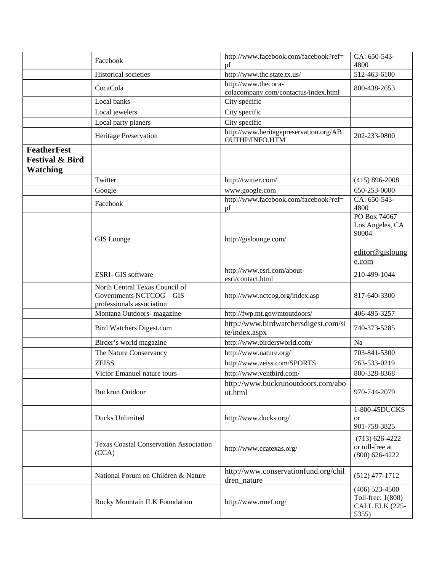|                                                                     | Facebook                                                                                | http://www.facebook.com/facebook?ref=<br>pf                 | CA: 650-543-<br>4800                                                 |
|---------------------------------------------------------------------|-----------------------------------------------------------------------------------------|-------------------------------------------------------------|----------------------------------------------------------------------|
|                                                                     | Historical societies                                                                    | http://www.thc.state.tx.us/                                 | 512-463-6100                                                         |
|                                                                     | CocaCola                                                                                | http://www.thecoca-<br>colacompany.com/contactus/index.html | 800-438-2653                                                         |
|                                                                     | Local banks                                                                             | City specific                                               |                                                                      |
|                                                                     | Local jewelers                                                                          | City specific                                               |                                                                      |
|                                                                     | Local party planers                                                                     | City specific                                               |                                                                      |
|                                                                     | Heritage Preservation                                                                   | http://www.heritagepreservation.org/AB<br>OUTHP/INFO.HTM    | 202-233-0800                                                         |
| <b>FeatherFest</b><br><b>Festival &amp; Bird</b><br><b>Watching</b> |                                                                                         |                                                             |                                                                      |
|                                                                     | Twitter                                                                                 | http://twitter.com/                                         | $(415) 896 - 2008$                                                   |
|                                                                     | Google                                                                                  | www.google.com                                              | 650-253-0000                                                         |
|                                                                     | Facebook                                                                                | http://www.facebook.com/facebook?ref=<br>pf                 | CA: 650-543-<br>4800                                                 |
|                                                                     | <b>GIS</b> Lounge                                                                       | http://gislounge.com/                                       | PO Box 74067<br>Los Angeles, CA<br>90004<br>editor@gisloung<br>e.com |
|                                                                     | <b>ESRI- GIS software</b>                                                               | http://www.esri.com/about-<br>esri/contact.html             | 210-499-1044                                                         |
|                                                                     | North Central Texas Council of<br>Governments NCTCOG - GIS<br>professionals association | http://www.nctcog.org/index.asp                             | 817-640-3300                                                         |
|                                                                     | Montana Outdoors- magazine                                                              | http://fwp.mt.gov/mtoutdoors/                               | 406-495-3257                                                         |
|                                                                     | <b>Bird Watchers Digest.com</b>                                                         | http://www.birdwatchersdigest.com/si<br>te/index.aspx       | 740-373-5285                                                         |
|                                                                     | Birder's world magazine                                                                 | http://www.birdersworld.com/                                | Na                                                                   |
|                                                                     | The Nature Conservancy                                                                  | http://www.nature.org/                                      | 703-841-5300                                                         |
|                                                                     | <b>ZEISS</b>                                                                            | http://www.zeiss.com/SPORTS                                 | 763-533-0219                                                         |
|                                                                     | Victor Emanuel nature tours                                                             | http://www.ventbird.com/                                    | 800-328-8368                                                         |
|                                                                     | <b>Buckrun Outdoor</b>                                                                  | http://www.buckrunoutdoors.com/abo<br>ut.html               | 970-744-2079                                                         |
|                                                                     | Ducks Unlimited                                                                         | http://www.ducks.org/                                       | 1-800-45DUCKS<br><sub>or</sub><br>901-758-3825                       |
|                                                                     | <b>Texas Coastal Conservation Association</b><br>(CCA)                                  | http://www.ccatexas.org/                                    | $(713)$ 626-4222<br>or toll-free at<br>$(800)$ 626-4222              |
|                                                                     | National Forum on Children & Nature                                                     | http://www.conservationfund.org/chil<br>dren_nature         | $(512)$ 477-1712                                                     |
|                                                                     | Rocky Mountain ILK Foundation                                                           | http://www.rmef.org/                                        | $(406)$ 523-4500<br>Toll-free: 1(800)<br>CALL ELK (225-<br>5355)     |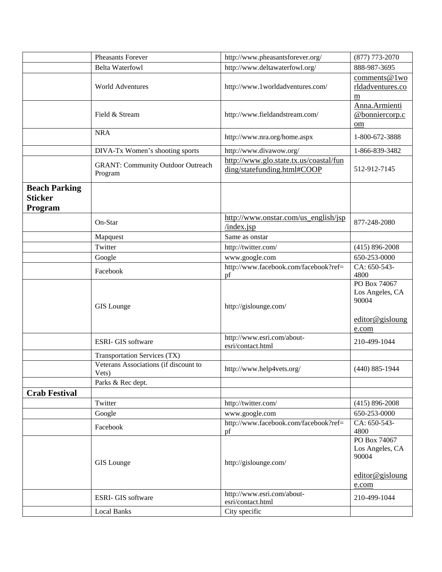|                                                   | <b>Pheasants Forever</b>                            | http://www.pheasantsforever.org/                                      | $(877)$ 773-2070                                                     |
|---------------------------------------------------|-----------------------------------------------------|-----------------------------------------------------------------------|----------------------------------------------------------------------|
|                                                   | <b>Belta Waterfowl</b>                              | http://www.deltawaterfowl.org/                                        | 888-987-3695                                                         |
|                                                   | <b>World Adventures</b>                             | http://www.1worldadventures.com/                                      | comments@1wo<br>rldadventures.co<br>m                                |
|                                                   | Field & Stream                                      | http://www.fieldandstream.com/                                        | Anna.Armienti<br>@bonniercorp.c<br>$om$                              |
|                                                   | <b>NRA</b>                                          | http://www.nra.org/home.aspx                                          | 1-800-672-3888                                                       |
|                                                   | DIVA-Tx Women's shooting sports                     | http://www.divawow.org/                                               | 1-866-839-3482                                                       |
|                                                   | <b>GRANT: Community Outdoor Outreach</b><br>Program | http://www.glo.state.tx.us/coastal/fun<br>ding/statefunding.html#COOP | 512-912-7145                                                         |
| <b>Beach Parking</b><br><b>Sticker</b><br>Program |                                                     |                                                                       |                                                                      |
|                                                   | On-Star                                             | http://www.onstar.com/us_english/jsp<br>/index.jsp                    | 877-248-2080                                                         |
|                                                   | Mapquest                                            | Same as onstar                                                        |                                                                      |
|                                                   | Twitter                                             | http://twitter.com/                                                   | $(415) 896 - 2008$                                                   |
|                                                   | Google                                              | www.google.com                                                        | 650-253-0000                                                         |
|                                                   | Facebook                                            | http://www.facebook.com/facebook?ref=<br>pf                           | CA: 650-543-<br>4800                                                 |
|                                                   | <b>GIS</b> Lounge                                   | http://gislounge.com/                                                 | PO Box 74067<br>Los Angeles, CA<br>90004<br>editor@gisloung          |
|                                                   | <b>ESRI- GIS software</b>                           | http://www.esri.com/about-<br>esri/contact.html                       | e.com<br>210-499-1044                                                |
|                                                   | Transportation Services (TX)                        |                                                                       |                                                                      |
|                                                   | Veterans Associations (if discount to<br>Vets)      | http://www.help4vets.org/                                             | $(440) 885 - 1944$                                                   |
|                                                   | Parks & Rec dept.                                   |                                                                       |                                                                      |
| <b>Crab Festival</b>                              |                                                     |                                                                       |                                                                      |
|                                                   | Twitter                                             | http://twitter.com/                                                   | $(415) 896 - 2008$                                                   |
|                                                   | Google                                              | www.google.com                                                        | 650-253-0000                                                         |
|                                                   | Facebook                                            | http://www.facebook.com/facebook?ref=<br>pf                           | CA: 650-543-<br>4800                                                 |
|                                                   | <b>GIS</b> Lounge                                   | http://gislounge.com/                                                 | PO Box 74067<br>Los Angeles, CA<br>90004<br>editor@gisloung<br>e.com |
|                                                   | ESRI- GIS software                                  | http://www.esri.com/about-<br>esri/contact.html                       | 210-499-1044                                                         |
|                                                   | <b>Local Banks</b>                                  | City specific                                                         |                                                                      |
|                                                   |                                                     |                                                                       |                                                                      |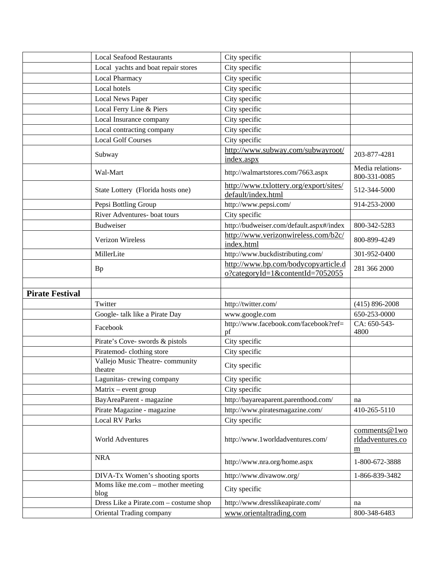|                        | <b>Local Seafood Restaurants</b>           | City specific                                                           |                                                     |
|------------------------|--------------------------------------------|-------------------------------------------------------------------------|-----------------------------------------------------|
|                        | Local yachts and boat repair stores        | City specific                                                           |                                                     |
|                        | Local Pharmacy                             | City specific                                                           |                                                     |
|                        | Local hotels                               | City specific                                                           |                                                     |
|                        | <b>Local News Paper</b>                    | City specific                                                           |                                                     |
|                        | Local Ferry Line & Piers                   | City specific                                                           |                                                     |
|                        | Local Insurance company                    | City specific                                                           |                                                     |
|                        | Local contracting company                  | City specific                                                           |                                                     |
|                        | <b>Local Golf Courses</b>                  | City specific                                                           |                                                     |
|                        | Subway                                     | http://www.subway.com/subwayroot/<br>index.aspx                         | 203-877-4281                                        |
|                        | Wal-Mart                                   | http://walmartstores.com/7663.aspx                                      | Media relations-<br>800-331-0085                    |
|                        | State Lottery (Florida hosts one)          | http://www.txlottery.org/export/sites/<br>default/index.html            | 512-344-5000                                        |
|                        | Pepsi Bottling Group                       | http://www.pepsi.com/                                                   | 914-253-2000                                        |
|                        | River Adventures- boat tours               | City specific                                                           |                                                     |
|                        | <b>Budweiser</b>                           | http://budweiser.com/default.aspx#/index                                | 800-342-5283                                        |
|                        | <b>Verizon Wireless</b>                    | http://www.verizonwireless.com/b2c/<br>index.html                       | 800-899-4249                                        |
|                        | MillerLite                                 | http://www.buckdistributing.com/                                        | 301-952-0400                                        |
|                        | <b>Bp</b>                                  | http://www.bp.com/bodycopyarticle.d<br>o?categoryId=1&contentId=7052055 | 281 366 2000                                        |
|                        |                                            |                                                                         |                                                     |
|                        |                                            |                                                                         |                                                     |
| <b>Pirate Festival</b> |                                            |                                                                         |                                                     |
|                        | Twitter                                    | http://twitter.com/                                                     | $(415)$ 896-2008                                    |
|                        | Google- talk like a Pirate Day             | www.google.com                                                          | 650-253-0000                                        |
|                        | Facebook                                   | http://www.facebook.com/facebook?ref=<br>pf                             | CA: 650-543-<br>4800                                |
|                        | Pirate's Cove- swords & pistols            | City specific                                                           |                                                     |
|                        | Piratemod-clothing store                   | City specific                                                           |                                                     |
|                        | Vallejo Music Theatre-community<br>theatre | City specific                                                           |                                                     |
|                        | Lagunitas-crewing company                  | City specific                                                           |                                                     |
|                        | $Matrix - event group$                     | City specific                                                           |                                                     |
|                        | BayAreaParent - magazine                   | http://bayareaparent.parenthood.com/                                    | na                                                  |
|                        | Pirate Magazine - magazine                 | http://www.piratesmagazine.com/                                         | 410-265-5110                                        |
|                        | <b>Local RV Parks</b>                      | City specific                                                           |                                                     |
|                        | <b>World Adventures</b>                    | http://www.1worldadventures.com/                                        | comments@1wo<br>rldadventures.co<br>$\underline{m}$ |
|                        | <b>NRA</b>                                 | http://www.nra.org/home.aspx                                            | 1-800-672-3888                                      |
|                        | DIVA-Tx Women's shooting sports            | http://www.divawow.org/                                                 | 1-866-839-3482                                      |
|                        | Moms like me.com - mother meeting<br>blog  | City specific                                                           |                                                     |
|                        | Dress Like a Pirate.com - costume shop     | http://www.dresslikeapirate.com/                                        | na                                                  |